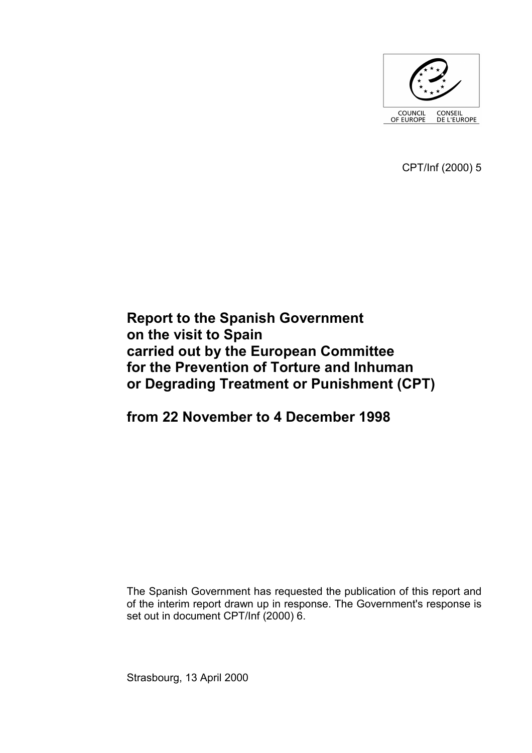

CPT/Inf (2000) 5

# **Report to the Spanish Government on the visit to Spain carried out by the European Committee for the Prevention of Torture and Inhuman or Degrading Treatment or Punishment (CPT)**

**from 22 November to 4 December 1998** 

The Spanish Government has requested the publication of this report and of the interim report drawn up in response. The Government's response is set out in document CPT/Inf (2000) 6.

Strasbourg, 13 April 2000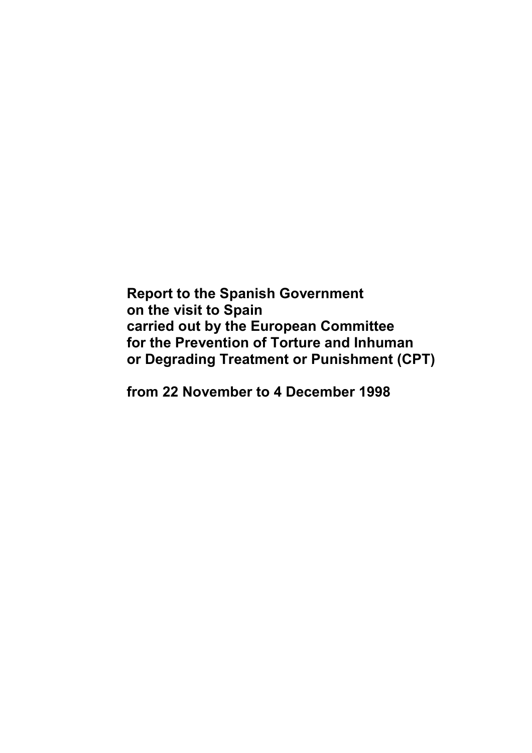**Report to the Spanish Government on the visit to Spain carried out by the European Committee for the Prevention of Torture and Inhuman or Degrading Treatment or Punishment (CPT)** 

**from 22 November to 4 December 1998**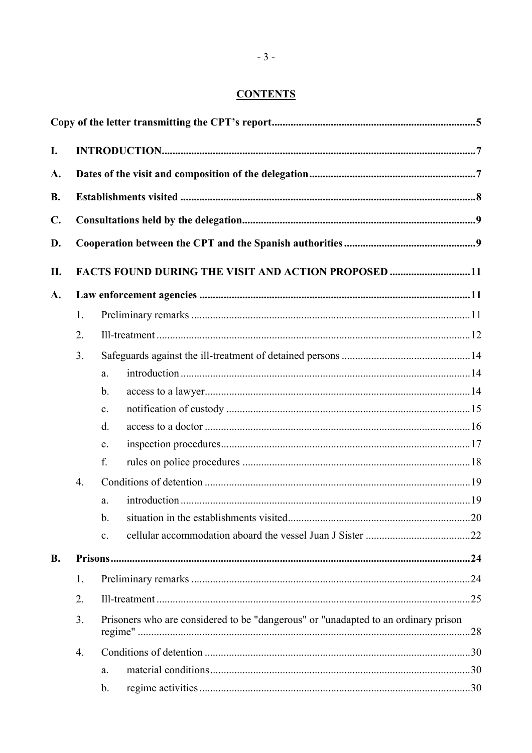## **CONTENTS**

| I.             |                                                                                          |                |                                                     |  |  |  |  |
|----------------|------------------------------------------------------------------------------------------|----------------|-----------------------------------------------------|--|--|--|--|
| A.             |                                                                                          |                |                                                     |  |  |  |  |
| <b>B.</b>      |                                                                                          |                |                                                     |  |  |  |  |
|                |                                                                                          |                |                                                     |  |  |  |  |
| $\mathbf{C}$ . |                                                                                          |                |                                                     |  |  |  |  |
| D.             |                                                                                          |                |                                                     |  |  |  |  |
| II.            |                                                                                          |                | FACTS FOUND DURING THE VISIT AND ACTION PROPOSED 11 |  |  |  |  |
| A.             |                                                                                          |                |                                                     |  |  |  |  |
|                | 1.                                                                                       |                |                                                     |  |  |  |  |
|                | 2.                                                                                       |                |                                                     |  |  |  |  |
|                | 3.                                                                                       |                |                                                     |  |  |  |  |
|                |                                                                                          | a.             |                                                     |  |  |  |  |
|                |                                                                                          | $\mathbf b$ .  |                                                     |  |  |  |  |
|                |                                                                                          | $\mathbf{c}$ . |                                                     |  |  |  |  |
|                |                                                                                          | d.             |                                                     |  |  |  |  |
|                |                                                                                          | e.             |                                                     |  |  |  |  |
|                |                                                                                          | f.             |                                                     |  |  |  |  |
|                | $\overline{4}$ .                                                                         |                |                                                     |  |  |  |  |
|                |                                                                                          | a.             |                                                     |  |  |  |  |
|                |                                                                                          | $b_{-}$        |                                                     |  |  |  |  |
|                |                                                                                          | $\mathbf{c}$ . |                                                     |  |  |  |  |
| <b>B.</b>      |                                                                                          |                |                                                     |  |  |  |  |
|                | 1.                                                                                       |                |                                                     |  |  |  |  |
|                | 2.                                                                                       |                |                                                     |  |  |  |  |
|                | Prisoners who are considered to be "dangerous" or "unadapted to an ordinary prison<br>3. |                |                                                     |  |  |  |  |
|                | $\overline{4}$ .                                                                         |                |                                                     |  |  |  |  |
|                |                                                                                          | a.             |                                                     |  |  |  |  |
|                |                                                                                          | b.             |                                                     |  |  |  |  |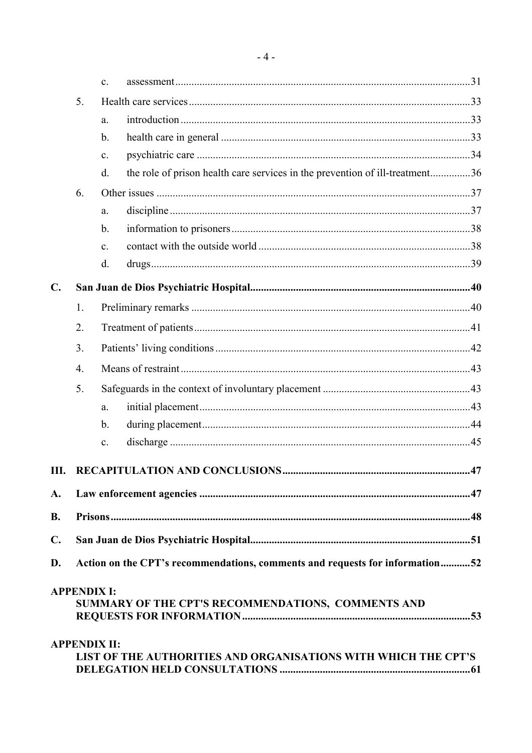|                |                    | C <sub>1</sub>                                                               |                                                                              |  |  |  |  |
|----------------|--------------------|------------------------------------------------------------------------------|------------------------------------------------------------------------------|--|--|--|--|
|                | 5.                 |                                                                              |                                                                              |  |  |  |  |
|                |                    | a.                                                                           |                                                                              |  |  |  |  |
|                |                    | $\mathbf b$ .                                                                |                                                                              |  |  |  |  |
|                |                    | $\mathbf{c}$ .                                                               |                                                                              |  |  |  |  |
|                |                    | $\mathbf{d}$ .                                                               | the role of prison health care services in the prevention of ill-treatment36 |  |  |  |  |
|                | 6.                 |                                                                              |                                                                              |  |  |  |  |
|                |                    | a.                                                                           |                                                                              |  |  |  |  |
|                |                    | $\mathbf b$ .                                                                |                                                                              |  |  |  |  |
|                |                    | $\mathbf{c}$ .                                                               |                                                                              |  |  |  |  |
|                |                    | d.                                                                           |                                                                              |  |  |  |  |
| $\mathbf{C}$ . |                    |                                                                              |                                                                              |  |  |  |  |
|                | 1.                 |                                                                              |                                                                              |  |  |  |  |
|                | 2.                 |                                                                              |                                                                              |  |  |  |  |
|                | 3.                 |                                                                              |                                                                              |  |  |  |  |
|                | $\overline{4}$ .   |                                                                              |                                                                              |  |  |  |  |
|                | 5.                 |                                                                              |                                                                              |  |  |  |  |
|                |                    | a.                                                                           |                                                                              |  |  |  |  |
|                |                    | $\mathbf b$ .                                                                |                                                                              |  |  |  |  |
|                |                    | $\mathbf{c}$ .                                                               |                                                                              |  |  |  |  |
| III.           |                    |                                                                              |                                                                              |  |  |  |  |
| A.             |                    |                                                                              |                                                                              |  |  |  |  |
| <b>B.</b>      |                    |                                                                              |                                                                              |  |  |  |  |
| $\mathbf{C}$ . |                    |                                                                              |                                                                              |  |  |  |  |
| D.             |                    | Action on the CPT's recommendations, comments and requests for information52 |                                                                              |  |  |  |  |
|                |                    |                                                                              |                                                                              |  |  |  |  |
|                | <b>APPENDIX I:</b> |                                                                              | SUMMARY OF THE CPT'S RECOMMENDATIONS, COMMENTS AND                           |  |  |  |  |
|                |                    |                                                                              |                                                                              |  |  |  |  |
|                |                    | <b>APPENDIX II:</b>                                                          | LIST OF THE AUTHORITIES AND ORGANISATIONS WITH WHICH THE CPT'S               |  |  |  |  |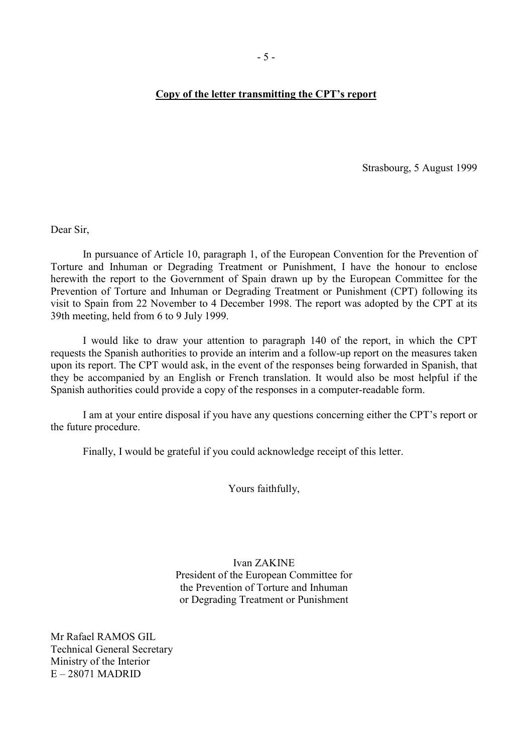#### <span id="page-6-0"></span>**Copy of the letter transmitting the CPT's report**

Strasbourg, 5 August 1999

Dear Sir,

 In pursuance of Article 10, paragraph 1, of the European Convention for the Prevention of Torture and Inhuman or Degrading Treatment or Punishment, I have the honour to enclose herewith the report to the Government of Spain drawn up by the European Committee for the Prevention of Torture and Inhuman or Degrading Treatment or Punishment (CPT) following its visit to Spain from 22 November to 4 December 1998. The report was adopted by the CPT at its 39th meeting, held from 6 to 9 July 1999.

 I would like to draw your attention to paragraph 140 of the report, in which the CPT requests the Spanish authorities to provide an interim and a follow-up report on the measures taken upon its report. The CPT would ask, in the event of the responses being forwarded in Spanish, that they be accompanied by an English or French translation. It would also be most helpful if the Spanish authorities could provide a copy of the responses in a computer-readable form.

 I am at your entire disposal if you have any questions concerning either the CPT's report or the future procedure.

Finally, I would be grateful if you could acknowledge receipt of this letter.

Yours faithfully,

Ivan ZAKINE President of the European Committee for the Prevention of Torture and Inhuman or Degrading Treatment or Punishment

Mr Rafael RAMOS GIL Technical General Secretary Ministry of the Interior E – 28071 MADRID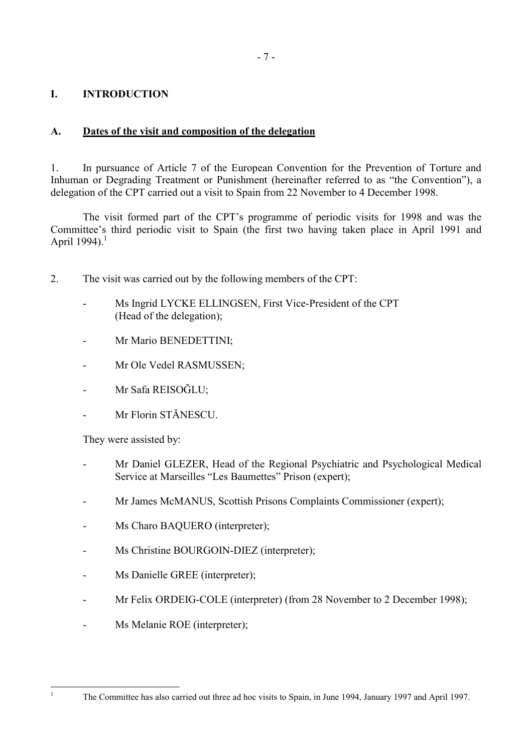## <span id="page-8-0"></span>**I. INTRODUCTION**

## **A. Dates of the visit and composition of the delegation**

1. In pursuance of Article 7 of the European Convention for the Prevention of Torture and Inhuman or Degrading Treatment or Punishment (hereinafter referred to as "the Convention"), a delegation of the CPT carried out a visit to Spain from 22 November to 4 December 1998.

 The visit formed part of the CPT's programme of periodic visits for 1998 and was the Committee's third periodic visit to Spain (the first two having taken place in April 1991 and April 1994).<sup>1</sup>

- 2. The visit was carried out by the following members of the CPT:
	- Ms Ingrid LYCKE ELLINGSEN, First Vice-President of the CPT (Head of the delegation);
	- Mr Mario BENEDETTINI:
	- Mr Ole Vedel RASMUSSEN;
	- Mr Safa REISOĞLU;
	- Mr Florin STĂNESCU

They were assisted by:

- Mr Daniel GLEZER, Head of the Regional Psychiatric and Psychological Medical Service at Marseilles "Les Baumettes" Prison (expert);
- Mr James McMANUS, Scottish Prisons Complaints Commissioner (expert);
- Ms Charo BAQUERO (interpreter);
- Ms Christine BOURGOIN-DIEZ (interpreter);
- Ms Danielle GREE (interpreter);
- Mr Felix ORDEIG-COLE (interpreter) (from 28 November to 2 December 1998);
- Ms Melanie ROE (interpreter);

The Committee has also carried out three ad hoc visits to Spain, in June 1994, January 1997 and April 1997.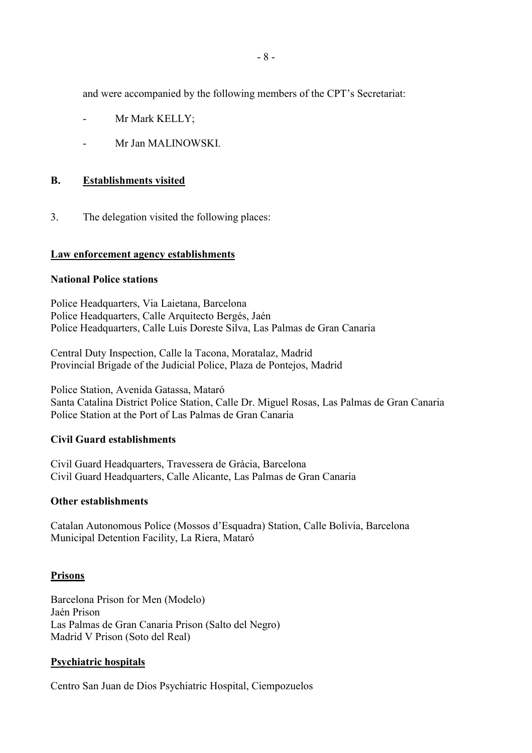<span id="page-9-0"></span>and were accompanied by the following members of the CPT's Secretariat:

- Mr Mark KELLY;
- Mr Jan MALINOWSKI

#### **B. Establishments visited**

3. The delegation visited the following places:

#### **Law enforcement agency establishments**

#### **National Police stations**

Police Headquarters, Via Laietana, Barcelona Police Headquarters, Calle Arquitecto Bergés, Jaén Police Headquarters, Calle Luis Doreste Silva, Las Palmas de Gran Canaria

Central Duty Inspection, Calle la Tacona, Moratalaz, Madrid Provincial Brigade of the Judicial Police, Plaza de Pontejos, Madrid

Police Station, Avenida Gatassa, Mataró Santa Catalina District Police Station, Calle Dr. Miguel Rosas, Las Palmas de Gran Canaria Police Station at the Port of Las Palmas de Gran Canaria

#### **Civil Guard establishments**

Civil Guard Headquarters, Travessera de Gràcia, Barcelona Civil Guard Headquarters, Calle Alicante, Las Palmas de Gran Canaria

#### **Other establishments**

Catalan Autonomous Police (Mossos d'Esquadra) Station, Calle Bolivia, Barcelona Municipal Detention Facility, La Riera, Mataró

#### **Prisons**

Barcelona Prison for Men (Modelo) Jaén Prison Las Palmas de Gran Canaria Prison (Salto del Negro) Madrid V Prison (Soto del Real)

#### **Psychiatric hospitals**

Centro San Juan de Dios Psychiatric Hospital, Ciempozuelos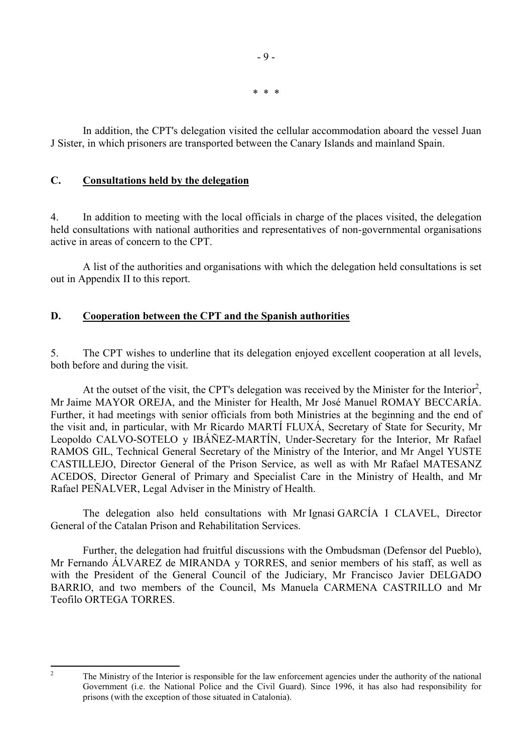\* \* \*

- 9 -

<span id="page-10-0"></span> In addition, the CPT's delegation visited the cellular accommodation aboard the vessel Juan J Sister, in which prisoners are transported between the Canary Islands and mainland Spain.

### **C. Consultations held by the delegation**

4. In addition to meeting with the local officials in charge of the places visited, the delegation held consultations with national authorities and representatives of non-governmental organisations active in areas of concern to the CPT.

 A list of the authorities and organisations with which the delegation held consultations is set out in Appendix II to this report.

## **D. Cooperation between the CPT and the Spanish authorities**

5. The CPT wishes to underline that its delegation enjoyed excellent cooperation at all levels, both before and during the visit.

At the outset of the visit, the CPT's delegation was received by the Minister for the Interior<sup>2</sup>, Mr Jaime MAYOR OREJA, and the Minister for Health, Mr José Manuel ROMAY BECCARÍA. Further, it had meetings with senior officials from both Ministries at the beginning and the end of the visit and, in particular, with Mr Ricardo MARTÍ FLUXÁ, Secretary of State for Security, Mr Leopoldo CALVO-SOTELO y IBÁÑEZ-MARTÍN, Under-Secretary for the Interior, Mr Rafael RAMOS GIL, Technical General Secretary of the Ministry of the Interior, and Mr Angel YUSTE CASTILLEJO, Director General of the Prison Service, as well as with Mr Rafael MATESANZ ACEDOS, Director General of Primary and Specialist Care in the Ministry of Health, and Mr Rafael PEÑALVER, Legal Adviser in the Ministry of Health.

The delegation also held consultations with Mr Ignasi GARCÍA I CLAVEL, Director General of the Catalan Prison and Rehabilitation Services.

 Further, the delegation had fruitful discussions with the Ombudsman (Defensor del Pueblo), Mr Fernando ÁLVAREZ de MIRANDA y TORRES, and senior members of his staff, as well as with the President of the General Council of the Judiciary, Mr Francisco Javier DELGADO BARRIO, and two members of the Council, Ms Manuela CARMENA CASTRILLO and Mr Teofilo ORTEGA TORRES.

 $\frac{1}{2}$ 

The Ministry of the Interior is responsible for the law enforcement agencies under the authority of the national Government (i.e. the National Police and the Civil Guard). Since 1996, it has also had responsibility for prisons (with the exception of those situated in Catalonia).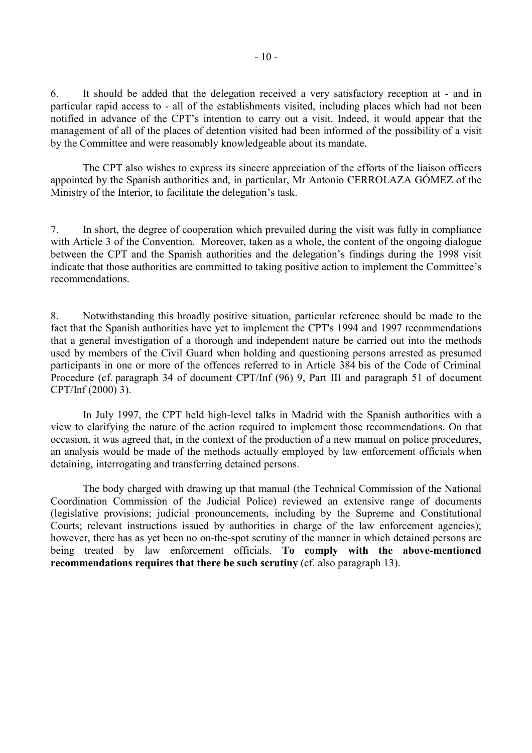6. It should be added that the delegation received a very satisfactory reception at - and in particular rapid access to - all of the establishments visited, including places which had not been notified in advance of the CPT's intention to carry out a visit. Indeed, it would appear that the management of all of the places of detention visited had been informed of the possibility of a visit by the Committee and were reasonably knowledgeable about its mandate.

The CPT also wishes to express its sincere appreciation of the efforts of the liaison officers appointed by the Spanish authorities and, in particular, Mr Antonio CERROLAZA GÓMEZ of the Ministry of the Interior, to facilitate the delegation's task.

7. In short, the degree of cooperation which prevailed during the visit was fully in compliance with Article 3 of the Convention. Moreover, taken as a whole, the content of the ongoing dialogue between the CPT and the Spanish authorities and the delegation's findings during the 1998 visit indicate that those authorities are committed to taking positive action to implement the Committee's recommendations.

8. Notwithstanding this broadly positive situation, particular reference should be made to the fact that the Spanish authorities have yet to implement the CPT's 1994 and 1997 recommendations that a general investigation of a thorough and independent nature be carried out into the methods used by members of the Civil Guard when holding and questioning persons arrested as presumed participants in one or more of the offences referred to in Article 384 bis of the Code of Criminal Procedure (cf. paragraph 34 of document CPT/Inf (96) 9, Part III and paragraph 51 of document CPT/Inf (2000) 3).

 In July 1997, the CPT held high-level talks in Madrid with the Spanish authorities with a view to clarifying the nature of the action required to implement those recommendations. On that occasion, it was agreed that, in the context of the production of a new manual on police procedures, an analysis would be made of the methods actually employed by law enforcement officials when detaining, interrogating and transferring detained persons.

 The body charged with drawing up that manual (the Technical Commission of the National Coordination Commission of the Judicial Police) reviewed an extensive range of documents (legislative provisions; judicial pronouncements, including by the Supreme and Constitutional Courts; relevant instructions issued by authorities in charge of the law enforcement agencies); however, there has as yet been no on-the-spot scrutiny of the manner in which detained persons are being treated by law enforcement officials. **To comply with the above-mentioned recommendations requires that there be such scrutiny** (cf. also paragraph 13).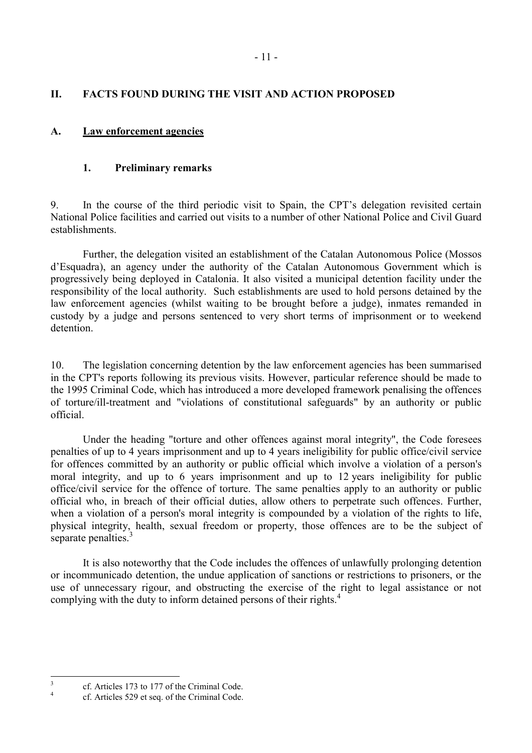## <span id="page-12-0"></span>**II. FACTS FOUND DURING THE VISIT AND ACTION PROPOSED**

## **A. Law enforcement agencies**

## **1. Preliminary remarks**

9. In the course of the third periodic visit to Spain, the CPT's delegation revisited certain National Police facilities and carried out visits to a number of other National Police and Civil Guard establishments.

 Further, the delegation visited an establishment of the Catalan Autonomous Police (Mossos d'Esquadra), an agency under the authority of the Catalan Autonomous Government which is progressively being deployed in Catalonia. It also visited a municipal detention facility under the responsibility of the local authority. Such establishments are used to hold persons detained by the law enforcement agencies (whilst waiting to be brought before a judge), inmates remanded in custody by a judge and persons sentenced to very short terms of imprisonment or to weekend detention.

10. The legislation concerning detention by the law enforcement agencies has been summarised in the CPT's reports following its previous visits. However, particular reference should be made to the 1995 Criminal Code, which has introduced a more developed framework penalising the offences of torture/ill-treatment and "violations of constitutional safeguards" by an authority or public official.

 Under the heading "torture and other offences against moral integrity", the Code foresees penalties of up to 4 years imprisonment and up to 4 years ineligibility for public office/civil service for offences committed by an authority or public official which involve a violation of a person's moral integrity, and up to 6 years imprisonment and up to 12 years ineligibility for public office/civil service for the offence of torture. The same penalties apply to an authority or public official who, in breach of their official duties, allow others to perpetrate such offences. Further, when a violation of a person's moral integrity is compounded by a violation of the rights to life, physical integrity, health, sexual freedom or property, those offences are to be the subject of separate penalties.<sup>3</sup>

 It is also noteworthy that the Code includes the offences of unlawfully prolonging detention or incommunicado detention, the undue application of sanctions or restrictions to prisoners, or the use of unnecessary rigour, and obstructing the exercise of the right to legal assistance or not complying with the duty to inform detained persons of their rights.<sup>4</sup>

 3 cf. Articles 173 to 177 of the Criminal Code.

<sup>4</sup> cf. Articles 529 et seq. of the Criminal Code.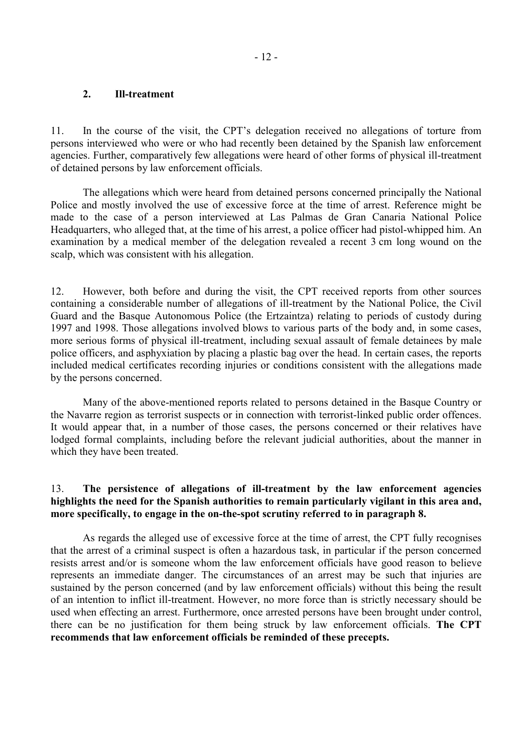#### <span id="page-13-0"></span>**2. Ill-treatment**

11. In the course of the visit, the CPT's delegation received no allegations of torture from persons interviewed who were or who had recently been detained by the Spanish law enforcement agencies. Further, comparatively few allegations were heard of other forms of physical ill-treatment of detained persons by law enforcement officials.

 The allegations which were heard from detained persons concerned principally the National Police and mostly involved the use of excessive force at the time of arrest. Reference might be made to the case of a person interviewed at Las Palmas de Gran Canaria National Police Headquarters, who alleged that, at the time of his arrest, a police officer had pistol-whipped him. An examination by a medical member of the delegation revealed a recent 3 cm long wound on the scalp, which was consistent with his allegation.

12. However, both before and during the visit, the CPT received reports from other sources containing a considerable number of allegations of ill-treatment by the National Police, the Civil Guard and the Basque Autonomous Police (the Ertzaintza) relating to periods of custody during 1997 and 1998. Those allegations involved blows to various parts of the body and, in some cases, more serious forms of physical ill-treatment, including sexual assault of female detainees by male police officers, and asphyxiation by placing a plastic bag over the head. In certain cases, the reports included medical certificates recording injuries or conditions consistent with the allegations made by the persons concerned.

 Many of the above-mentioned reports related to persons detained in the Basque Country or the Navarre region as terrorist suspects or in connection with terrorist-linked public order offences. It would appear that, in a number of those cases, the persons concerned or their relatives have lodged formal complaints, including before the relevant judicial authorities, about the manner in which they have been treated.

#### 13. **The persistence of allegations of ill-treatment by the law enforcement agencies highlights the need for the Spanish authorities to remain particularly vigilant in this area and, more specifically, to engage in the on-the-spot scrutiny referred to in paragraph 8.**

 As regards the alleged use of excessive force at the time of arrest, the CPT fully recognises that the arrest of a criminal suspect is often a hazardous task, in particular if the person concerned resists arrest and/or is someone whom the law enforcement officials have good reason to believe represents an immediate danger. The circumstances of an arrest may be such that injuries are sustained by the person concerned (and by law enforcement officials) without this being the result of an intention to inflict ill-treatment. However, no more force than is strictly necessary should be used when effecting an arrest. Furthermore, once arrested persons have been brought under control, there can be no justification for them being struck by law enforcement officials. **The CPT recommends that law enforcement officials be reminded of these precepts.**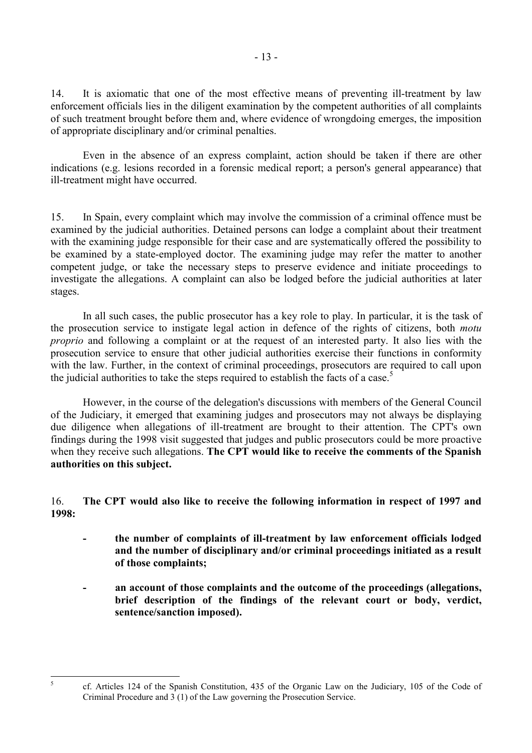14. It is axiomatic that one of the most effective means of preventing ill-treatment by law enforcement officials lies in the diligent examination by the competent authorities of all complaints of such treatment brought before them and, where evidence of wrongdoing emerges, the imposition of appropriate disciplinary and/or criminal penalties.

 Even in the absence of an express complaint, action should be taken if there are other indications (e.g. lesions recorded in a forensic medical report; a person's general appearance) that ill-treatment might have occurred.

15. In Spain, every complaint which may involve the commission of a criminal offence must be examined by the judicial authorities. Detained persons can lodge a complaint about their treatment with the examining judge responsible for their case and are systematically offered the possibility to be examined by a state-employed doctor. The examining judge may refer the matter to another competent judge, or take the necessary steps to preserve evidence and initiate proceedings to investigate the allegations. A complaint can also be lodged before the judicial authorities at later stages.

In all such cases, the public prosecutor has a key role to play. In particular, it is the task of the prosecution service to instigate legal action in defence of the rights of citizens, both *motu proprio* and following a complaint or at the request of an interested party. It also lies with the prosecution service to ensure that other judicial authorities exercise their functions in conformity with the law. Further, in the context of criminal proceedings, prosecutors are required to call upon the judicial authorities to take the steps required to establish the facts of a case.<sup>5</sup>

However, in the course of the delegation's discussions with members of the General Council of the Judiciary, it emerged that examining judges and prosecutors may not always be displaying due diligence when allegations of ill-treatment are brought to their attention. The CPT's own findings during the 1998 visit suggested that judges and public prosecutors could be more proactive when they receive such allegations. **The CPT would like to receive the comments of the Spanish authorities on this subject.** 

16. **The CPT would also like to receive the following information in respect of 1997 and 1998:** 

- **the number of complaints of ill-treatment by law enforcement officials lodged and the number of disciplinary and/or criminal proceedings initiated as a result of those complaints;**
- **an account of those complaints and the outcome of the proceedings (allegations, brief description of the findings of the relevant court or body, verdict, sentence/sanction imposed).**

5

cf. Articles 124 of the Spanish Constitution, 435 of the Organic Law on the Judiciary, 105 of the Code of Criminal Procedure and 3 (1) of the Law governing the Prosecution Service.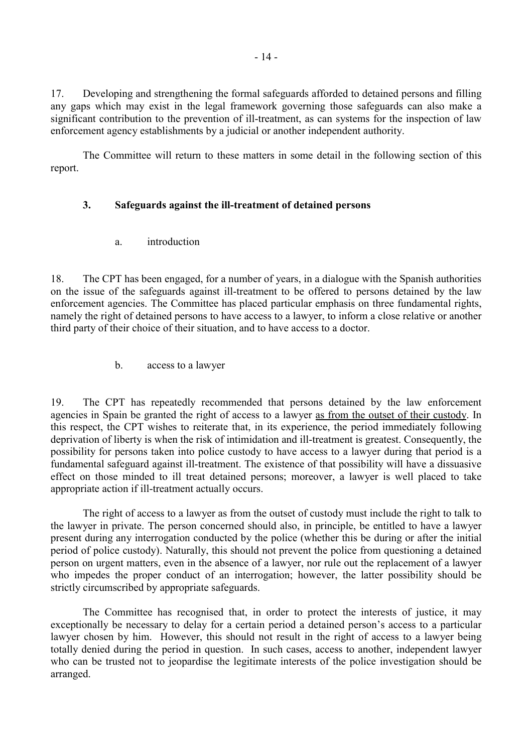<span id="page-15-0"></span>17. Developing and strengthening the formal safeguards afforded to detained persons and filling any gaps which may exist in the legal framework governing those safeguards can also make a significant contribution to the prevention of ill-treatment, as can systems for the inspection of law enforcement agency establishments by a judicial or another independent authority.

 The Committee will return to these matters in some detail in the following section of this report.

## **3. Safeguards against the ill-treatment of detained persons**

a. introduction

18. The CPT has been engaged, for a number of years, in a dialogue with the Spanish authorities on the issue of the safeguards against ill-treatment to be offered to persons detained by the law enforcement agencies. The Committee has placed particular emphasis on three fundamental rights, namely the right of detained persons to have access to a lawyer, to inform a close relative or another third party of their choice of their situation, and to have access to a doctor.

b. access to a lawyer

19. The CPT has repeatedly recommended that persons detained by the law enforcement agencies in Spain be granted the right of access to a lawyer as from the outset of their custody. In this respect, the CPT wishes to reiterate that, in its experience, the period immediately following deprivation of liberty is when the risk of intimidation and ill-treatment is greatest. Consequently, the possibility for persons taken into police custody to have access to a lawyer during that period is a fundamental safeguard against ill-treatment. The existence of that possibility will have a dissuasive effect on those minded to ill treat detained persons; moreover, a lawyer is well placed to take appropriate action if ill-treatment actually occurs.

The right of access to a lawyer as from the outset of custody must include the right to talk to the lawyer in private. The person concerned should also, in principle, be entitled to have a lawyer present during any interrogation conducted by the police (whether this be during or after the initial period of police custody). Naturally, this should not prevent the police from questioning a detained person on urgent matters, even in the absence of a lawyer, nor rule out the replacement of a lawyer who impedes the proper conduct of an interrogation; however, the latter possibility should be strictly circumscribed by appropriate safeguards.

 The Committee has recognised that, in order to protect the interests of justice, it may exceptionally be necessary to delay for a certain period a detained person's access to a particular lawyer chosen by him. However, this should not result in the right of access to a lawyer being totally denied during the period in question. In such cases, access to another, independent lawyer who can be trusted not to jeopardise the legitimate interests of the police investigation should be arranged.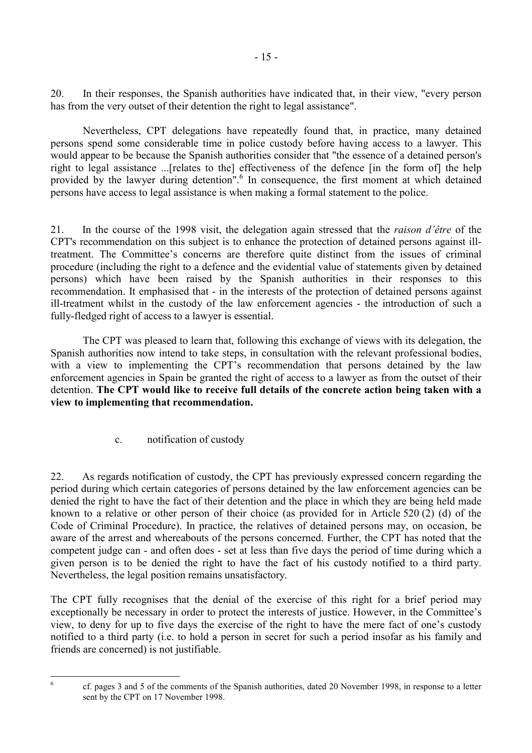<span id="page-16-0"></span>20. In their responses, the Spanish authorities have indicated that, in their view, "every person has from the very outset of their detention the right to legal assistance".

Nevertheless, CPT delegations have repeatedly found that, in practice, many detained persons spend some considerable time in police custody before having access to a lawyer. This would appear to be because the Spanish authorities consider that "the essence of a detained person's right to legal assistance ...[relates to the] effectiveness of the defence [in the form of] the help provided by the lawyer during detention".<sup>6</sup> In consequence, the first moment at which detained persons have access to legal assistance is when making a formal statement to the police.

21. In the course of the 1998 visit, the delegation again stressed that the *raison d'être* of the CPT's recommendation on this subject is to enhance the protection of detained persons against illtreatment. The Committee's concerns are therefore quite distinct from the issues of criminal procedure (including the right to a defence and the evidential value of statements given by detained persons) which have been raised by the Spanish authorities in their responses to this recommendation. It emphasised that - in the interests of the protection of detained persons against ill-treatment whilst in the custody of the law enforcement agencies - the introduction of such a fully-fledged right of access to a lawyer is essential.

The CPT was pleased to learn that, following this exchange of views with its delegation, the Spanish authorities now intend to take steps, in consultation with the relevant professional bodies, with a view to implementing the CPT's recommendation that persons detained by the law enforcement agencies in Spain be granted the right of access to a lawyer as from the outset of their detention. **The CPT would like to receive full details of the concrete action being taken with a view to implementing that recommendation.** 

c. notification of custody

22. As regards notification of custody, the CPT has previously expressed concern regarding the period during which certain categories of persons detained by the law enforcement agencies can be denied the right to have the fact of their detention and the place in which they are being held made known to a relative or other person of their choice (as provided for in Article 520 (2) (d) of the Code of Criminal Procedure). In practice, the relatives of detained persons may, on occasion, be aware of the arrest and whereabouts of the persons concerned. Further, the CPT has noted that the competent judge can - and often does - set at less than five days the period of time during which a given person is to be denied the right to have the fact of his custody notified to a third party. Nevertheless, the legal position remains unsatisfactory.

The CPT fully recognises that the denial of the exercise of this right for a brief period may exceptionally be necessary in order to protect the interests of justice. However, in the Committee's view, to deny for up to five days the exercise of the right to have the mere fact of one's custody notified to a third party (i.e. to hold a person in secret for such a period insofar as his family and friends are concerned) is not justifiable.

 $\frac{1}{6}$ 

cf. pages 3 and 5 of the comments of the Spanish authorities, dated 20 November 1998, in response to a letter sent by the CPT on 17 November 1998.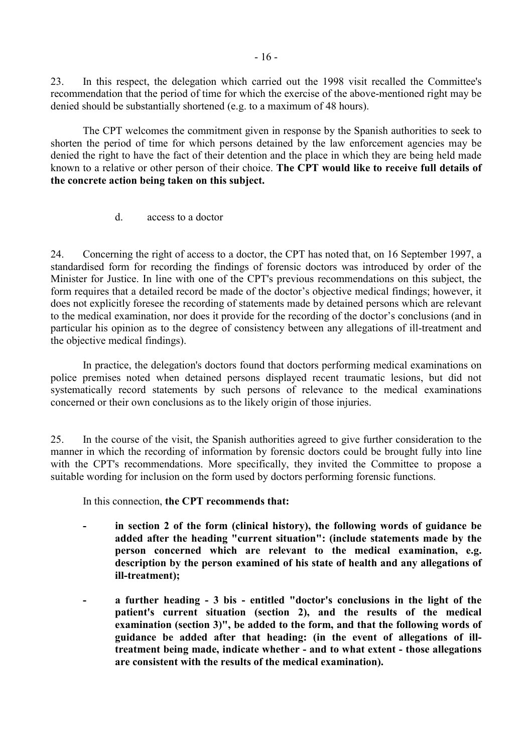<span id="page-17-0"></span>23. In this respect, the delegation which carried out the 1998 visit recalled the Committee's recommendation that the period of time for which the exercise of the above-mentioned right may be denied should be substantially shortened (e.g. to a maximum of 48 hours).

The CPT welcomes the commitment given in response by the Spanish authorities to seek to shorten the period of time for which persons detained by the law enforcement agencies may be denied the right to have the fact of their detention and the place in which they are being held made known to a relative or other person of their choice. **The CPT would like to receive full details of the concrete action being taken on this subject.** 

d. access to a doctor

24. Concerning the right of access to a doctor, the CPT has noted that, on 16 September 1997, a standardised form for recording the findings of forensic doctors was introduced by order of the Minister for Justice. In line with one of the CPT's previous recommendations on this subject, the form requires that a detailed record be made of the doctor's objective medical findings; however, it does not explicitly foresee the recording of statements made by detained persons which are relevant to the medical examination, nor does it provide for the recording of the doctor's conclusions (and in particular his opinion as to the degree of consistency between any allegations of ill-treatment and the objective medical findings).

In practice, the delegation's doctors found that doctors performing medical examinations on police premises noted when detained persons displayed recent traumatic lesions, but did not systematically record statements by such persons of relevance to the medical examinations concerned or their own conclusions as to the likely origin of those injuries.

25. In the course of the visit, the Spanish authorities agreed to give further consideration to the manner in which the recording of information by forensic doctors could be brought fully into line with the CPT's recommendations. More specifically, they invited the Committee to propose a suitable wording for inclusion on the form used by doctors performing forensic functions.

In this connection, **the CPT recommends that:** 

- **in section 2 of the form (clinical history), the following words of guidance be added after the heading "current situation": (include statements made by the person concerned which are relevant to the medical examination, e.g. description by the person examined of his state of health and any allegations of ill-treatment);**
- **a further heading 3 bis entitled "doctor's conclusions in the light of the patient's current situation (section 2), and the results of the medical examination (section 3)", be added to the form, and that the following words of guidance be added after that heading: (in the event of allegations of illtreatment being made, indicate whether - and to what extent - those allegations are consistent with the results of the medical examination).**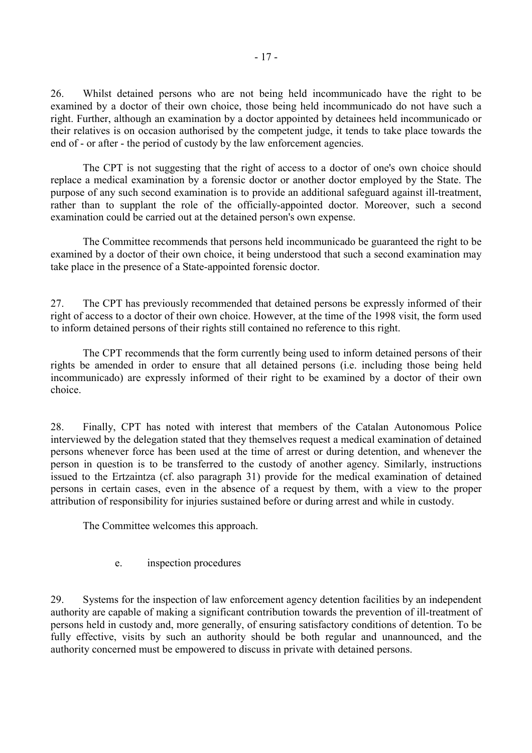<span id="page-18-0"></span>26. Whilst detained persons who are not being held incommunicado have the right to be examined by a doctor of their own choice, those being held incommunicado do not have such a right. Further, although an examination by a doctor appointed by detainees held incommunicado or their relatives is on occasion authorised by the competent judge, it tends to take place towards the end of - or after - the period of custody by the law enforcement agencies.

 The CPT is not suggesting that the right of access to a doctor of one's own choice should replace a medical examination by a forensic doctor or another doctor employed by the State. The purpose of any such second examination is to provide an additional safeguard against ill-treatment, rather than to supplant the role of the officially-appointed doctor. Moreover, such a second examination could be carried out at the detained person's own expense.

 The Committee recommends that persons held incommunicado be guaranteed the right to be examined by a doctor of their own choice, it being understood that such a second examination may take place in the presence of a State-appointed forensic doctor.

27. The CPT has previously recommended that detained persons be expressly informed of their right of access to a doctor of their own choice. However, at the time of the 1998 visit, the form used to inform detained persons of their rights still contained no reference to this right.

 The CPT recommends that the form currently being used to inform detained persons of their rights be amended in order to ensure that all detained persons (i.e. including those being held incommunicado) are expressly informed of their right to be examined by a doctor of their own choice.

28. Finally, CPT has noted with interest that members of the Catalan Autonomous Police interviewed by the delegation stated that they themselves request a medical examination of detained persons whenever force has been used at the time of arrest or during detention, and whenever the person in question is to be transferred to the custody of another agency. Similarly, instructions issued to the Ertzaintza (cf. also paragraph 31) provide for the medical examination of detained persons in certain cases, even in the absence of a request by them, with a view to the proper attribution of responsibility for injuries sustained before or during arrest and while in custody.

The Committee welcomes this approach.

e. inspection procedures

29. Systems for the inspection of law enforcement agency detention facilities by an independent authority are capable of making a significant contribution towards the prevention of ill-treatment of persons held in custody and, more generally, of ensuring satisfactory conditions of detention. To be fully effective, visits by such an authority should be both regular and unannounced, and the authority concerned must be empowered to discuss in private with detained persons.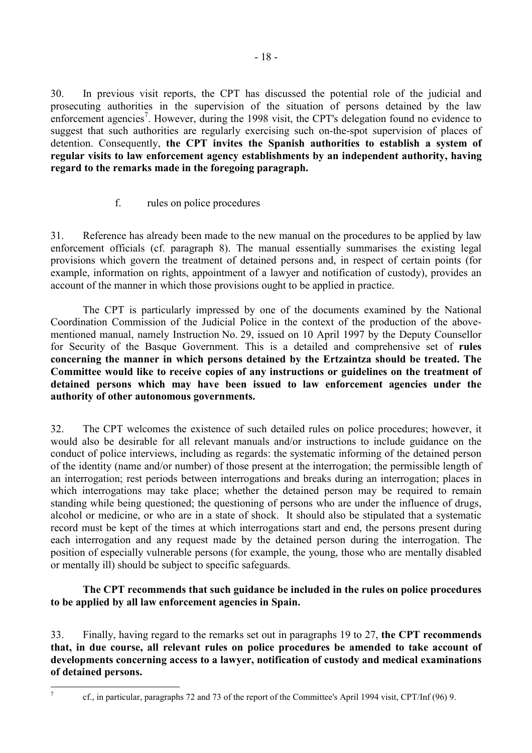<span id="page-19-0"></span>30. In previous visit reports, the CPT has discussed the potential role of the judicial and prosecuting authorities in the supervision of the situation of persons detained by the law enforcement agencies<sup>7</sup>. However, during the 1998 visit, the CPT's delegation found no evidence to suggest that such authorities are regularly exercising such on-the-spot supervision of places of detention. Consequently, **the CPT invites the Spanish authorities to establish a system of regular visits to law enforcement agency establishments by an independent authority, having regard to the remarks made in the foregoing paragraph.**

## f. rules on police procedures

31. Reference has already been made to the new manual on the procedures to be applied by law enforcement officials (cf. paragraph 8). The manual essentially summarises the existing legal provisions which govern the treatment of detained persons and, in respect of certain points (for example, information on rights, appointment of a lawyer and notification of custody), provides an account of the manner in which those provisions ought to be applied in practice.

 The CPT is particularly impressed by one of the documents examined by the National Coordination Commission of the Judicial Police in the context of the production of the abovementioned manual, namely Instruction No. 29, issued on 10 April 1997 by the Deputy Counsellor for Security of the Basque Government. This is a detailed and comprehensive set of **rules concerning the manner in which persons detained by the Ertzaintza should be treated. The Committee would like to receive copies of any instructions or guidelines on the treatment of detained persons which may have been issued to law enforcement agencies under the authority of other autonomous governments.**

32. The CPT welcomes the existence of such detailed rules on police procedures; however, it would also be desirable for all relevant manuals and/or instructions to include guidance on the conduct of police interviews, including as regards: the systematic informing of the detained person of the identity (name and/or number) of those present at the interrogation; the permissible length of an interrogation; rest periods between interrogations and breaks during an interrogation; places in which interrogations may take place; whether the detained person may be required to remain standing while being questioned; the questioning of persons who are under the influence of drugs, alcohol or medicine, or who are in a state of shock. It should also be stipulated that a systematic record must be kept of the times at which interrogations start and end, the persons present during each interrogation and any request made by the detained person during the interrogation. The position of especially vulnerable persons (for example, the young, those who are mentally disabled or mentally ill) should be subject to specific safeguards.

## **The CPT recommends that such guidance be included in the rules on police procedures to be applied by all law enforcement agencies in Spain.**

33. Finally, having regard to the remarks set out in paragraphs 19 to 27, **the CPT recommends that, in due course, all relevant rules on police procedures be amended to take account of developments concerning access to a lawyer, notification of custody and medical examinations of detained persons.** 

<sup>-&</sup>lt;br>7

cf., in particular, paragraphs 72 and 73 of the report of the Committee's April 1994 visit, CPT/Inf (96) 9.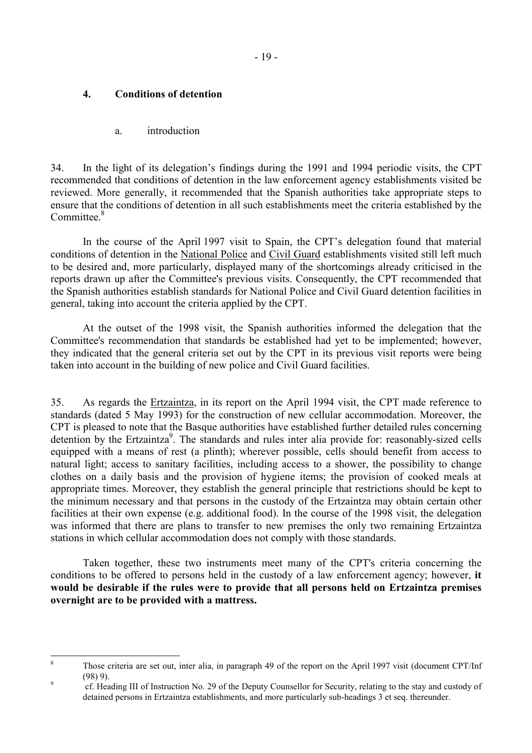## <span id="page-20-0"></span>**4. Conditions of detention**

a. introduction

34. In the light of its delegation's findings during the 1991 and 1994 periodic visits, the CPT recommended that conditions of detention in the law enforcement agency establishments visited be reviewed. More generally, it recommended that the Spanish authorities take appropriate steps to ensure that the conditions of detention in all such establishments meet the criteria established by the Committee.<sup>8</sup>

 In the course of the April 1997 visit to Spain, the CPT's delegation found that material conditions of detention in the National Police and Civil Guard establishments visited still left much to be desired and, more particularly, displayed many of the shortcomings already criticised in the reports drawn up after the Committee's previous visits. Consequently, the CPT recommended that the Spanish authorities establish standards for National Police and Civil Guard detention facilities in general, taking into account the criteria applied by the CPT.

 At the outset of the 1998 visit, the Spanish authorities informed the delegation that the Committee's recommendation that standards be established had yet to be implemented; however, they indicated that the general criteria set out by the CPT in its previous visit reports were being taken into account in the building of new police and Civil Guard facilities.

35. As regards the Ertzaintza, in its report on the April 1994 visit, the CPT made reference to standards (dated 5 May 1993) for the construction of new cellular accommodation. Moreover, the CPT is pleased to note that the Basque authorities have established further detailed rules concerning detention by the Ertzaintza<sup>9</sup>. The standards and rules inter alia provide for: reasonably-sized cells equipped with a means of rest (a plinth); wherever possible, cells should benefit from access to natural light; access to sanitary facilities, including access to a shower, the possibility to change clothes on a daily basis and the provision of hygiene items; the provision of cooked meals at appropriate times. Moreover, they establish the general principle that restrictions should be kept to the minimum necessary and that persons in the custody of the Ertzaintza may obtain certain other facilities at their own expense (e.g. additional food). In the course of the 1998 visit, the delegation was informed that there are plans to transfer to new premises the only two remaining Ertzaintza stations in which cellular accommodation does not comply with those standards.

 Taken together, these two instruments meet many of the CPT's criteria concerning the conditions to be offered to persons held in the custody of a law enforcement agency; however, **it would be desirable if the rules were to provide that all persons held on Ertzaintza premises overnight are to be provided with a mattress.**

 8 Those criteria are set out, inter alia, in paragraph 49 of the report on the April 1997 visit (document CPT/Inf  $(98)$  9).

cf. Heading III of Instruction No. 29 of the Deputy Counsellor for Security, relating to the stay and custody of detained persons in Ertzaintza establishments, and more particularly sub-headings 3 et seq. thereunder.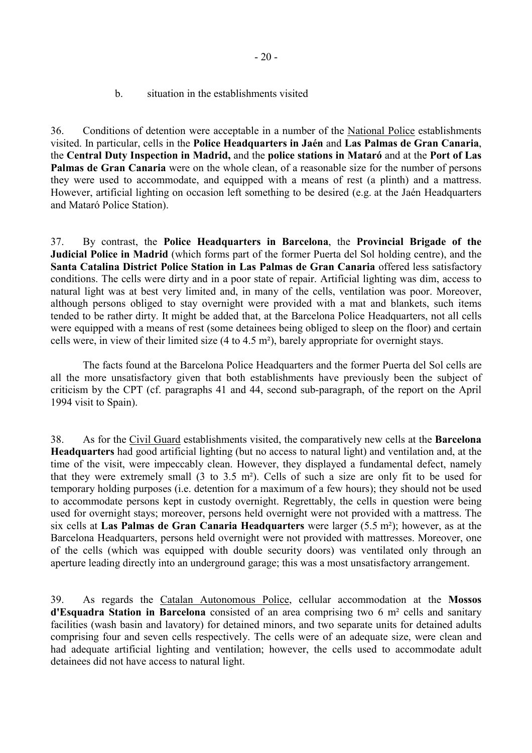b. situation in the establishments visited

<span id="page-21-0"></span>36. Conditions of detention were acceptable in a number of the National Police establishments visited. In particular, cells in the **Police Headquarters in Jaén** and **Las Palmas de Gran Canaria**, the **Central Duty Inspection in Madrid,** and the **police stations in Mataró** and at the **Port of Las Palmas de Gran Canaria** were on the whole clean, of a reasonable size for the number of persons they were used to accommodate, and equipped with a means of rest (a plinth) and a mattress. However, artificial lighting on occasion left something to be desired (e.g. at the Jaén Headquarters and Mataró Police Station).

37. By contrast, the **Police Headquarters in Barcelona**, the **Provincial Brigade of the Judicial Police in Madrid** (which forms part of the former Puerta del Sol holding centre), and the **Santa Catalina District Police Station in Las Palmas de Gran Canaria** offered less satisfactory conditions. The cells were dirty and in a poor state of repair. Artificial lighting was dim, access to natural light was at best very limited and, in many of the cells, ventilation was poor. Moreover, although persons obliged to stay overnight were provided with a mat and blankets, such items tended to be rather dirty. It might be added that, at the Barcelona Police Headquarters, not all cells were equipped with a means of rest (some detainees being obliged to sleep on the floor) and certain cells were, in view of their limited size (4 to 4.5 m²), barely appropriate for overnight stays.

 The facts found at the Barcelona Police Headquarters and the former Puerta del Sol cells are all the more unsatisfactory given that both establishments have previously been the subject of criticism by the CPT (cf. paragraphs 41 and 44, second sub-paragraph, of the report on the April 1994 visit to Spain).

38. As for the Civil Guard establishments visited, the comparatively new cells at the **Barcelona Headquarters** had good artificial lighting (but no access to natural light) and ventilation and, at the time of the visit, were impeccably clean. However, they displayed a fundamental defect, namely that they were extremely small (3 to 3.5 m²). Cells of such a size are only fit to be used for temporary holding purposes (i.e. detention for a maximum of a few hours); they should not be used to accommodate persons kept in custody overnight. Regrettably, the cells in question were being used for overnight stays; moreover, persons held overnight were not provided with a mattress. The six cells at **Las Palmas de Gran Canaria Headquarters** were larger (5.5 m²); however, as at the Barcelona Headquarters, persons held overnight were not provided with mattresses. Moreover, one of the cells (which was equipped with double security doors) was ventilated only through an aperture leading directly into an underground garage; this was a most unsatisfactory arrangement.

39. As regards the Catalan Autonomous Police, cellular accommodation at the **Mossos d'Esquadra Station in Barcelona** consisted of an area comprising two 6 m² cells and sanitary facilities (wash basin and lavatory) for detained minors, and two separate units for detained adults comprising four and seven cells respectively. The cells were of an adequate size, were clean and had adequate artificial lighting and ventilation; however, the cells used to accommodate adult detainees did not have access to natural light.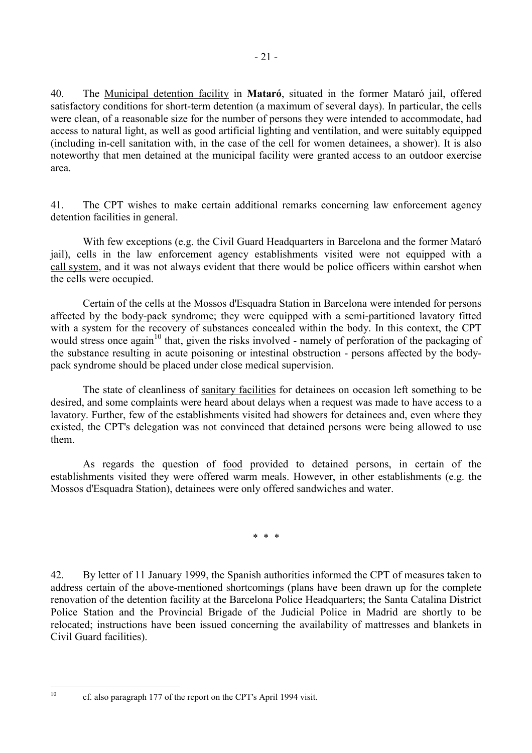40. The Municipal detention facility in **Mataró**, situated in the former Mataró jail, offered satisfactory conditions for short-term detention (a maximum of several days). In particular, the cells were clean, of a reasonable size for the number of persons they were intended to accommodate, had access to natural light, as well as good artificial lighting and ventilation, and were suitably equipped (including in-cell sanitation with, in the case of the cell for women detainees, a shower). It is also noteworthy that men detained at the municipal facility were granted access to an outdoor exercise area.

41. The CPT wishes to make certain additional remarks concerning law enforcement agency detention facilities in general.

 With few exceptions (e.g. the Civil Guard Headquarters in Barcelona and the former Mataró jail), cells in the law enforcement agency establishments visited were not equipped with a call system, and it was not always evident that there would be police officers within earshot when the cells were occupied.

 Certain of the cells at the Mossos d'Esquadra Station in Barcelona were intended for persons affected by the body-pack syndrome; they were equipped with a semi-partitioned lavatory fitted with a system for the recovery of substances concealed within the body. In this context, the CPT would stress once again<sup>10</sup> that, given the risks involved - namely of perforation of the packaging of the substance resulting in acute poisoning or intestinal obstruction - persons affected by the bodypack syndrome should be placed under close medical supervision.

The state of cleanliness of sanitary facilities for detainees on occasion left something to be desired, and some complaints were heard about delays when a request was made to have access to a lavatory. Further, few of the establishments visited had showers for detainees and, even where they existed, the CPT's delegation was not convinced that detained persons were being allowed to use them.

 As regards the question of food provided to detained persons, in certain of the establishments visited they were offered warm meals. However, in other establishments (e.g. the Mossos d'Esquadra Station), detainees were only offered sandwiches and water.

\* \* \*

42. By letter of 11 January 1999, the Spanish authorities informed the CPT of measures taken to address certain of the above-mentioned shortcomings (plans have been drawn up for the complete renovation of the detention facility at the Barcelona Police Headquarters; the Santa Catalina District Police Station and the Provincial Brigade of the Judicial Police in Madrid are shortly to be relocated; instructions have been issued concerning the availability of mattresses and blankets in Civil Guard facilities).

 $10$ 

<sup>10</sup> cf. also paragraph 177 of the report on the CPT's April 1994 visit.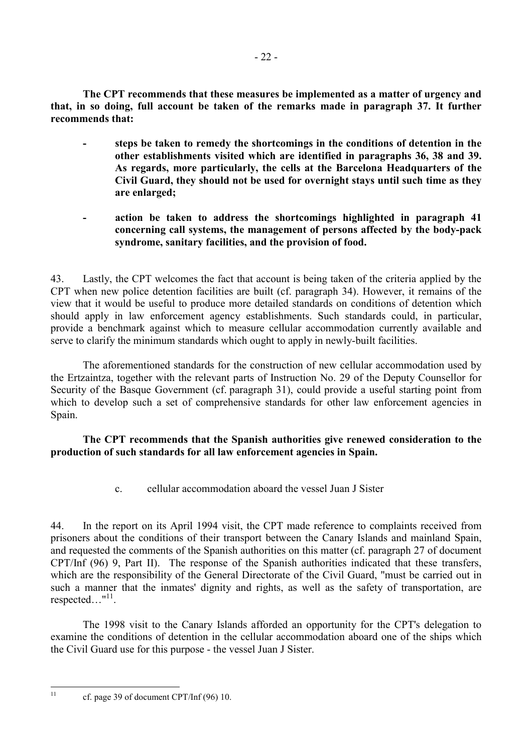<span id="page-23-0"></span> **The CPT recommends that these measures be implemented as a matter of urgency and that, in so doing, full account be taken of the remarks made in paragraph 37. It further recommends that:** 

- **steps be taken to remedy the shortcomings in the conditions of detention in the other establishments visited which are identified in paragraphs 36, 38 and 39. As regards, more particularly, the cells at the Barcelona Headquarters of the Civil Guard, they should not be used for overnight stays until such time as they are enlarged;**
- **action be taken to address the shortcomings highlighted in paragraph 41 concerning call systems, the management of persons affected by the body-pack syndrome, sanitary facilities, and the provision of food.**

43. Lastly, the CPT welcomes the fact that account is being taken of the criteria applied by the CPT when new police detention facilities are built (cf. paragraph 34). However, it remains of the view that it would be useful to produce more detailed standards on conditions of detention which should apply in law enforcement agency establishments. Such standards could, in particular, provide a benchmark against which to measure cellular accommodation currently available and serve to clarify the minimum standards which ought to apply in newly-built facilities.

 The aforementioned standards for the construction of new cellular accommodation used by the Ertzaintza, together with the relevant parts of Instruction No. 29 of the Deputy Counsellor for Security of the Basque Government (cf. paragraph 31), could provide a useful starting point from which to develop such a set of comprehensive standards for other law enforcement agencies in Spain.

## **The CPT recommends that the Spanish authorities give renewed consideration to the production of such standards for all law enforcement agencies in Spain.**

c. cellular accommodation aboard the vessel Juan J Sister

44. In the report on its April 1994 visit, the CPT made reference to complaints received from prisoners about the conditions of their transport between the Canary Islands and mainland Spain, and requested the comments of the Spanish authorities on this matter (cf. paragraph 27 of document CPT/Inf (96) 9, Part II). The response of the Spanish authorities indicated that these transfers, which are the responsibility of the General Directorate of the Civil Guard, "must be carried out in such a manner that the inmates' dignity and rights, as well as the safety of transportation, are respected…"<sup>11</sup>.

The 1998 visit to the Canary Islands afforded an opportunity for the CPT's delegation to examine the conditions of detention in the cellular accommodation aboard one of the ships which the Civil Guard use for this purpose - the vessel Juan J Sister.

 $11<sup>°</sup>$ 

cf. page 39 of document CPT/Inf  $(96)$  10.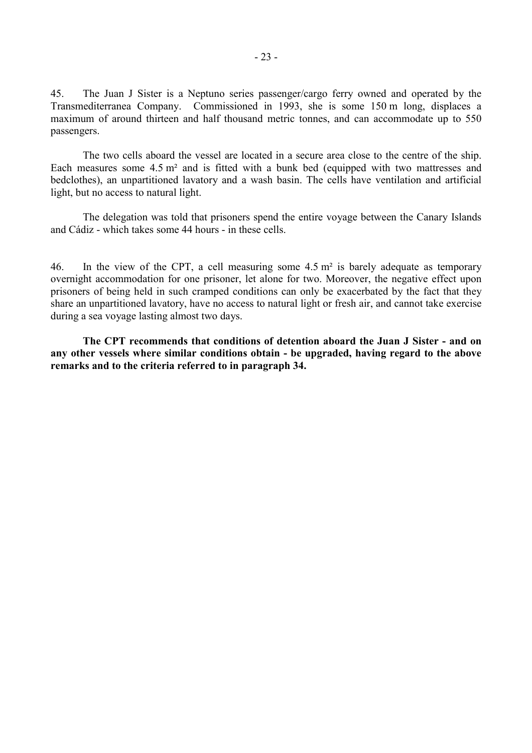45. The Juan J Sister is a Neptuno series passenger/cargo ferry owned and operated by the Transmediterranea Company. Commissioned in 1993, she is some 150 m long, displaces a maximum of around thirteen and half thousand metric tonnes, and can accommodate up to 550 passengers.

The two cells aboard the vessel are located in a secure area close to the centre of the ship. Each measures some 4.5 m² and is fitted with a bunk bed (equipped with two mattresses and bedclothes), an unpartitioned lavatory and a wash basin. The cells have ventilation and artificial light, but no access to natural light.

 The delegation was told that prisoners spend the entire voyage between the Canary Islands and Cádiz - which takes some 44 hours - in these cells.

46. In the view of the CPT, a cell measuring some 4.5 m² is barely adequate as temporary overnight accommodation for one prisoner, let alone for two. Moreover, the negative effect upon prisoners of being held in such cramped conditions can only be exacerbated by the fact that they share an unpartitioned lavatory, have no access to natural light or fresh air, and cannot take exercise during a sea voyage lasting almost two days.

**The CPT recommends that conditions of detention aboard the Juan J Sister - and on any other vessels where similar conditions obtain - be upgraded, having regard to the above remarks and to the criteria referred to in paragraph 34.**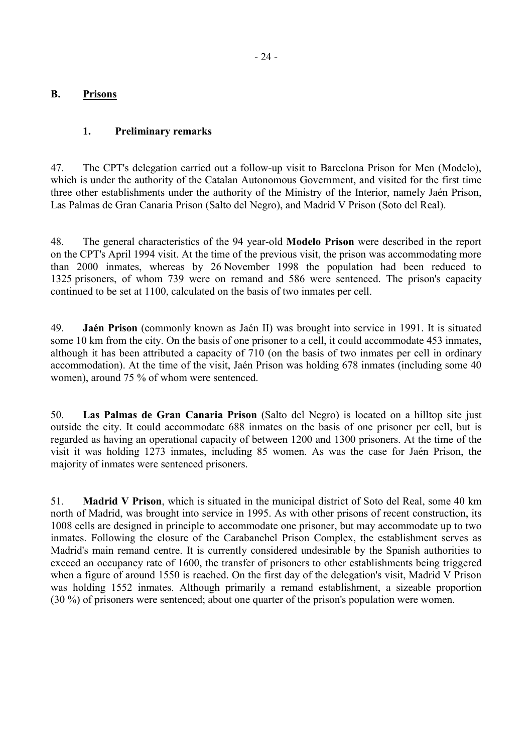### <span id="page-25-0"></span>**B. Prisons**

### **1. Preliminary remarks**

47. The CPT's delegation carried out a follow-up visit to Barcelona Prison for Men (Modelo), which is under the authority of the Catalan Autonomous Government, and visited for the first time three other establishments under the authority of the Ministry of the Interior, namely Jaén Prison, Las Palmas de Gran Canaria Prison (Salto del Negro), and Madrid V Prison (Soto del Real).

48. The general characteristics of the 94 year-old **Modelo Prison** were described in the report on the CPT's April 1994 visit. At the time of the previous visit, the prison was accommodating more than 2000 inmates, whereas by 26 November 1998 the population had been reduced to 1325 prisoners, of whom 739 were on remand and 586 were sentenced. The prison's capacity continued to be set at 1100, calculated on the basis of two inmates per cell.

49. **Jaén Prison** (commonly known as Jaén II) was brought into service in 1991. It is situated some 10 km from the city. On the basis of one prisoner to a cell, it could accommodate 453 inmates, although it has been attributed a capacity of 710 (on the basis of two inmates per cell in ordinary accommodation). At the time of the visit, Jaén Prison was holding 678 inmates (including some 40 women), around 75 % of whom were sentenced.

50. **Las Palmas de Gran Canaria Prison** (Salto del Negro) is located on a hilltop site just outside the city. It could accommodate 688 inmates on the basis of one prisoner per cell, but is regarded as having an operational capacity of between 1200 and 1300 prisoners. At the time of the visit it was holding 1273 inmates, including 85 women. As was the case for Jaén Prison, the majority of inmates were sentenced prisoners.

51. **Madrid V Prison**, which is situated in the municipal district of Soto del Real, some 40 km north of Madrid, was brought into service in 1995. As with other prisons of recent construction, its 1008 cells are designed in principle to accommodate one prisoner, but may accommodate up to two inmates. Following the closure of the Carabanchel Prison Complex, the establishment serves as Madrid's main remand centre. It is currently considered undesirable by the Spanish authorities to exceed an occupancy rate of 1600, the transfer of prisoners to other establishments being triggered when a figure of around 1550 is reached. On the first day of the delegation's visit, Madrid V Prison was holding 1552 inmates. Although primarily a remand establishment, a sizeable proportion (30 %) of prisoners were sentenced; about one quarter of the prison's population were women.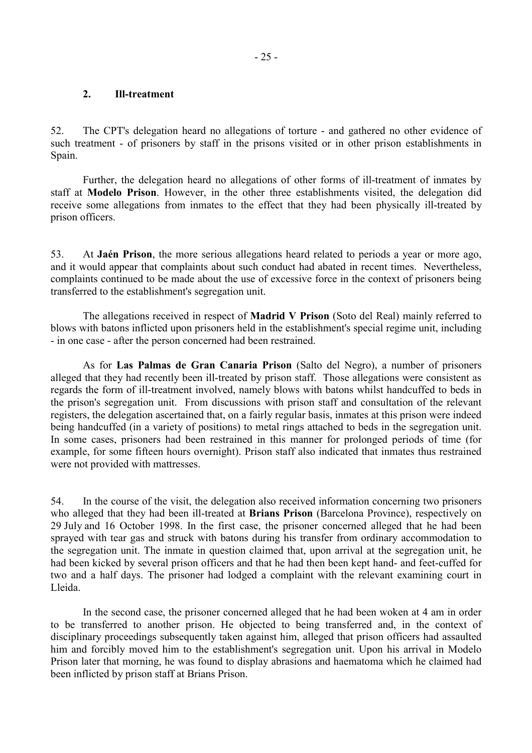#### <span id="page-26-0"></span>**2. Ill-treatment**

52. The CPT's delegation heard no allegations of torture - and gathered no other evidence of such treatment - of prisoners by staff in the prisons visited or in other prison establishments in Spain.

Further, the delegation heard no allegations of other forms of ill-treatment of inmates by staff at **Modelo Prison**. However, in the other three establishments visited, the delegation did receive some allegations from inmates to the effect that they had been physically ill-treated by prison officers.

53. At **Jaén Prison**, the more serious allegations heard related to periods a year or more ago, and it would appear that complaints about such conduct had abated in recent times. Nevertheless, complaints continued to be made about the use of excessive force in the context of prisoners being transferred to the establishment's segregation unit.

The allegations received in respect of **Madrid V Prison** (Soto del Real) mainly referred to blows with batons inflicted upon prisoners held in the establishment's special regime unit, including - in one case - after the person concerned had been restrained.

As for **Las Palmas de Gran Canaria Prison** (Salto del Negro), a number of prisoners alleged that they had recently been ill-treated by prison staff. Those allegations were consistent as regards the form of ill-treatment involved, namely blows with batons whilst handcuffed to beds in the prison's segregation unit. From discussions with prison staff and consultation of the relevant registers, the delegation ascertained that, on a fairly regular basis, inmates at this prison were indeed being handcuffed (in a variety of positions) to metal rings attached to beds in the segregation unit. In some cases, prisoners had been restrained in this manner for prolonged periods of time (for example, for some fifteen hours overnight). Prison staff also indicated that inmates thus restrained were not provided with mattresses.

54. In the course of the visit, the delegation also received information concerning two prisoners who alleged that they had been ill-treated at **Brians Prison** (Barcelona Province), respectively on 29 July and 16 October 1998. In the first case, the prisoner concerned alleged that he had been sprayed with tear gas and struck with batons during his transfer from ordinary accommodation to the segregation unit. The inmate in question claimed that, upon arrival at the segregation unit, he had been kicked by several prison officers and that he had then been kept hand- and feet-cuffed for two and a half days. The prisoner had lodged a complaint with the relevant examining court in Lleida.

 In the second case, the prisoner concerned alleged that he had been woken at 4 am in order to be transferred to another prison. He objected to being transferred and, in the context of disciplinary proceedings subsequently taken against him, alleged that prison officers had assaulted him and forcibly moved him to the establishment's segregation unit. Upon his arrival in Modelo Prison later that morning, he was found to display abrasions and haematoma which he claimed had been inflicted by prison staff at Brians Prison.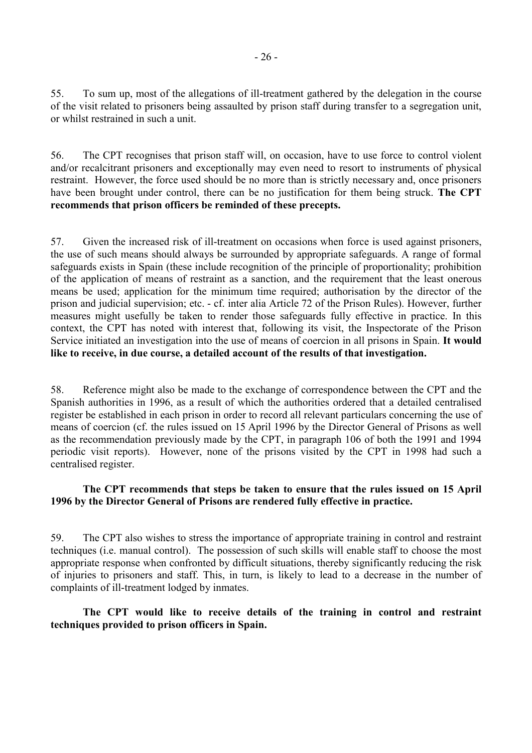55. To sum up, most of the allegations of ill-treatment gathered by the delegation in the course of the visit related to prisoners being assaulted by prison staff during transfer to a segregation unit, or whilst restrained in such a unit.

56. The CPT recognises that prison staff will, on occasion, have to use force to control violent and/or recalcitrant prisoners and exceptionally may even need to resort to instruments of physical restraint. However, the force used should be no more than is strictly necessary and, once prisoners have been brought under control, there can be no justification for them being struck. **The CPT recommends that prison officers be reminded of these precepts.**

57. Given the increased risk of ill-treatment on occasions when force is used against prisoners, the use of such means should always be surrounded by appropriate safeguards. A range of formal safeguards exists in Spain (these include recognition of the principle of proportionality; prohibition of the application of means of restraint as a sanction, and the requirement that the least onerous means be used; application for the minimum time required; authorisation by the director of the prison and judicial supervision; etc. - cf. inter alia Article 72 of the Prison Rules). However, further measures might usefully be taken to render those safeguards fully effective in practice. In this context, the CPT has noted with interest that, following its visit, the Inspectorate of the Prison Service initiated an investigation into the use of means of coercion in all prisons in Spain. **It would like to receive, in due course, a detailed account of the results of that investigation.**

58. Reference might also be made to the exchange of correspondence between the CPT and the Spanish authorities in 1996, as a result of which the authorities ordered that a detailed centralised register be established in each prison in order to record all relevant particulars concerning the use of means of coercion (cf. the rules issued on 15 April 1996 by the Director General of Prisons as well as the recommendation previously made by the CPT, in paragraph 106 of both the 1991 and 1994 periodic visit reports). However, none of the prisons visited by the CPT in 1998 had such a centralised register.

## **The CPT recommends that steps be taken to ensure that the rules issued on 15 April 1996 by the Director General of Prisons are rendered fully effective in practice.**

59. The CPT also wishes to stress the importance of appropriate training in control and restraint techniques (i.e. manual control). The possession of such skills will enable staff to choose the most appropriate response when confronted by difficult situations, thereby significantly reducing the risk of injuries to prisoners and staff. This, in turn, is likely to lead to a decrease in the number of complaints of ill-treatment lodged by inmates.

### **The CPT would like to receive details of the training in control and restraint techniques provided to prison officers in Spain.**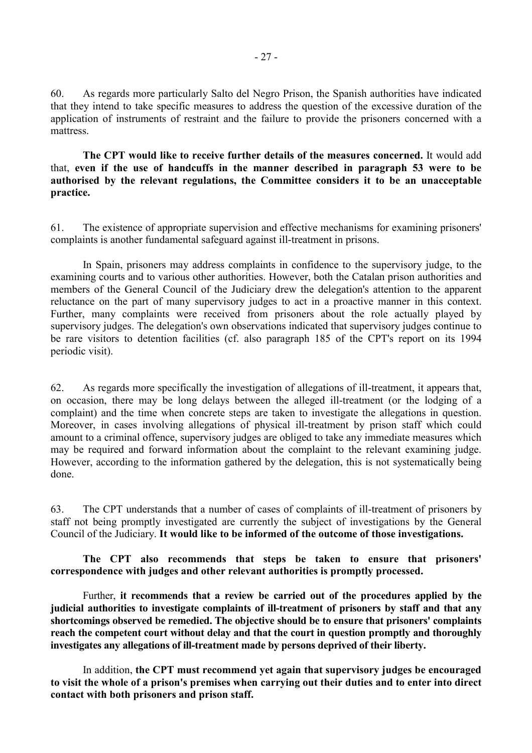60. As regards more particularly Salto del Negro Prison, the Spanish authorities have indicated that they intend to take specific measures to address the question of the excessive duration of the application of instruments of restraint and the failure to provide the prisoners concerned with a mattress.

**The CPT would like to receive further details of the measures concerned.** It would add that, **even if the use of handcuffs in the manner described in paragraph 53 were to be authorised by the relevant regulations, the Committee considers it to be an unacceptable practice.** 

61. The existence of appropriate supervision and effective mechanisms for examining prisoners' complaints is another fundamental safeguard against ill-treatment in prisons.

In Spain, prisoners may address complaints in confidence to the supervisory judge, to the examining courts and to various other authorities. However, both the Catalan prison authorities and members of the General Council of the Judiciary drew the delegation's attention to the apparent reluctance on the part of many supervisory judges to act in a proactive manner in this context. Further, many complaints were received from prisoners about the role actually played by supervisory judges. The delegation's own observations indicated that supervisory judges continue to be rare visitors to detention facilities (cf. also paragraph 185 of the CPT's report on its 1994 periodic visit).

62. As regards more specifically the investigation of allegations of ill-treatment, it appears that, on occasion, there may be long delays between the alleged ill-treatment (or the lodging of a complaint) and the time when concrete steps are taken to investigate the allegations in question. Moreover, in cases involving allegations of physical ill-treatment by prison staff which could amount to a criminal offence, supervisory judges are obliged to take any immediate measures which may be required and forward information about the complaint to the relevant examining judge. However, according to the information gathered by the delegation, this is not systematically being done.

63. The CPT understands that a number of cases of complaints of ill-treatment of prisoners by staff not being promptly investigated are currently the subject of investigations by the General Council of the Judiciary. **It would like to be informed of the outcome of those investigations.**

**The CPT also recommends that steps be taken to ensure that prisoners' correspondence with judges and other relevant authorities is promptly processed.**

Further, **it recommends that a review be carried out of the procedures applied by the judicial authorities to investigate complaints of ill-treatment of prisoners by staff and that any shortcomings observed be remedied. The objective should be to ensure that prisoners' complaints reach the competent court without delay and that the court in question promptly and thoroughly investigates any allegations of ill-treatment made by persons deprived of their liberty.** 

In addition, **the CPT must recommend yet again that supervisory judges be encouraged to visit the whole of a prison's premises when carrying out their duties and to enter into direct contact with both prisoners and prison staff.**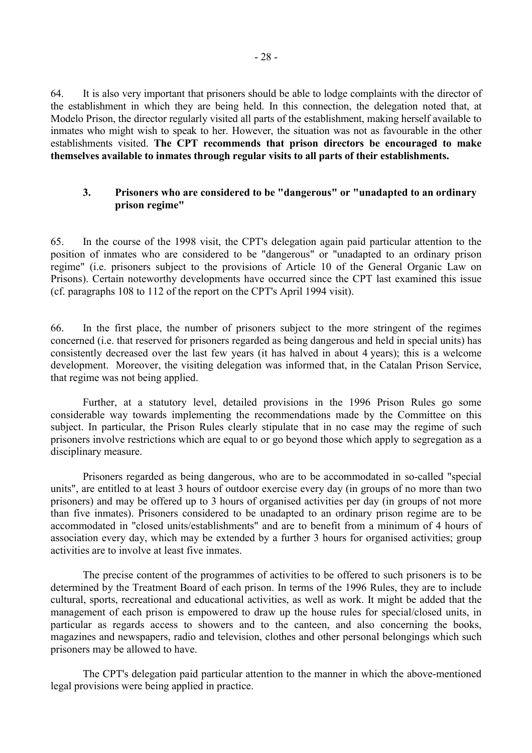<span id="page-29-0"></span>64. It is also very important that prisoners should be able to lodge complaints with the director of the establishment in which they are being held. In this connection, the delegation noted that, at Modelo Prison, the director regularly visited all parts of the establishment, making herself available to inmates who might wish to speak to her. However, the situation was not as favourable in the other establishments visited. **The CPT recommends that prison directors be encouraged to make themselves available to inmates through regular visits to all parts of their establishments.**

#### **3. Prisoners who are considered to be "dangerous" or "unadapted to an ordinary prison regime"**

65. In the course of the 1998 visit, the CPT's delegation again paid particular attention to the position of inmates who are considered to be "dangerous" or "unadapted to an ordinary prison regime" (i.e. prisoners subject to the provisions of Article 10 of the General Organic Law on Prisons). Certain noteworthy developments have occurred since the CPT last examined this issue (cf. paragraphs 108 to 112 of the report on the CPT's April 1994 visit).

66. In the first place, the number of prisoners subject to the more stringent of the regimes concerned (i.e. that reserved for prisoners regarded as being dangerous and held in special units) has consistently decreased over the last few years (it has halved in about 4 years); this is a welcome development. Moreover, the visiting delegation was informed that, in the Catalan Prison Service, that regime was not being applied.

 Further, at a statutory level, detailed provisions in the 1996 Prison Rules go some considerable way towards implementing the recommendations made by the Committee on this subject. In particular, the Prison Rules clearly stipulate that in no case may the regime of such prisoners involve restrictions which are equal to or go beyond those which apply to segregation as a disciplinary measure.

Prisoners regarded as being dangerous, who are to be accommodated in so-called "special units", are entitled to at least 3 hours of outdoor exercise every day (in groups of no more than two prisoners) and may be offered up to 3 hours of organised activities per day (in groups of not more than five inmates). Prisoners considered to be unadapted to an ordinary prison regime are to be accommodated in "closed units/establishments" and are to benefit from a minimum of 4 hours of association every day, which may be extended by a further 3 hours for organised activities; group activities are to involve at least five inmates.

The precise content of the programmes of activities to be offered to such prisoners is to be determined by the Treatment Board of each prison. In terms of the 1996 Rules, they are to include cultural, sports, recreational and educational activities, as well as work. It might be added that the management of each prison is empowered to draw up the house rules for special/closed units, in particular as regards access to showers and to the canteen, and also concerning the books, magazines and newspapers, radio and television, clothes and other personal belongings which such prisoners may be allowed to have.

The CPT's delegation paid particular attention to the manner in which the above-mentioned legal provisions were being applied in practice.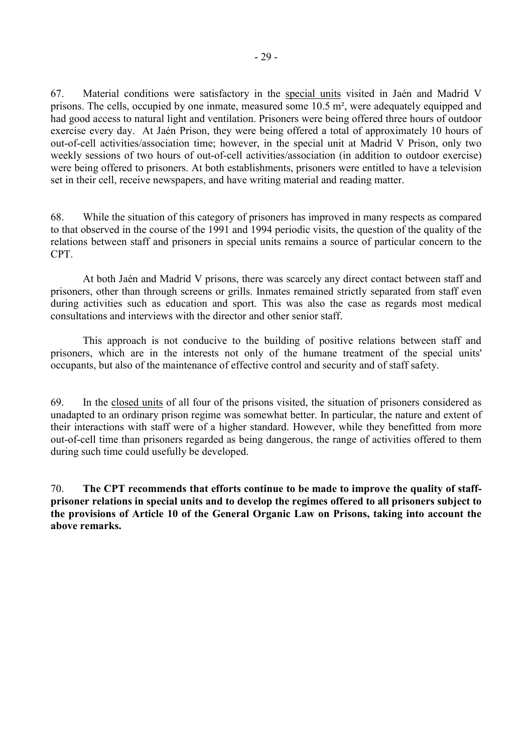67. Material conditions were satisfactory in the special units visited in Jaén and Madrid V prisons. The cells, occupied by one inmate, measured some 10.5 m², were adequately equipped and had good access to natural light and ventilation. Prisoners were being offered three hours of outdoor exercise every day. At Jaén Prison, they were being offered a total of approximately 10 hours of out-of-cell activities/association time; however, in the special unit at Madrid V Prison, only two weekly sessions of two hours of out-of-cell activities/association (in addition to outdoor exercise) were being offered to prisoners. At both establishments, prisoners were entitled to have a television set in their cell, receive newspapers, and have writing material and reading matter.

68. While the situation of this category of prisoners has improved in many respects as compared to that observed in the course of the 1991 and 1994 periodic visits, the question of the quality of the relations between staff and prisoners in special units remains a source of particular concern to the CPT.

At both Jaén and Madrid V prisons, there was scarcely any direct contact between staff and prisoners, other than through screens or grills. Inmates remained strictly separated from staff even during activities such as education and sport. This was also the case as regards most medical consultations and interviews with the director and other senior staff.

This approach is not conducive to the building of positive relations between staff and prisoners, which are in the interests not only of the humane treatment of the special units' occupants, but also of the maintenance of effective control and security and of staff safety.

69. In the closed units of all four of the prisons visited, the situation of prisoners considered as unadapted to an ordinary prison regime was somewhat better. In particular, the nature and extent of their interactions with staff were of a higher standard. However, while they benefitted from more out-of-cell time than prisoners regarded as being dangerous, the range of activities offered to them during such time could usefully be developed.

70. **The CPT recommends that efforts continue to be made to improve the quality of staffprisoner relations in special units and to develop the regimes offered to all prisoners subject to the provisions of Article 10 of the General Organic Law on Prisons, taking into account the above remarks.**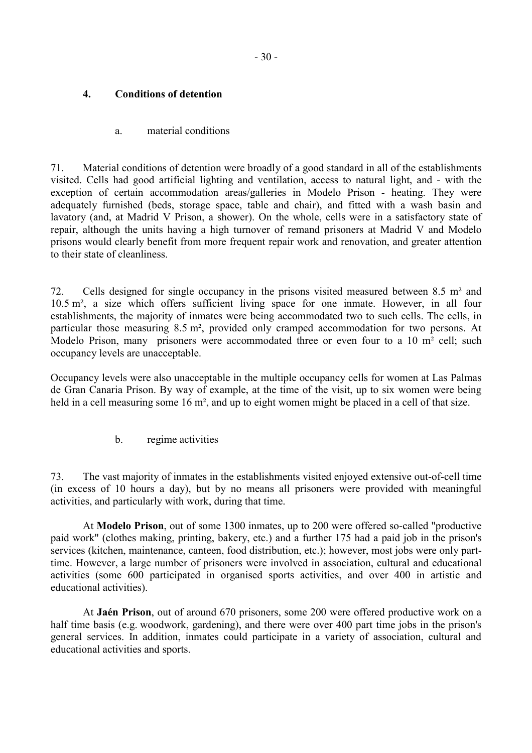## <span id="page-31-0"></span>**4. Conditions of detention**

## a. material conditions

71. Material conditions of detention were broadly of a good standard in all of the establishments visited. Cells had good artificial lighting and ventilation, access to natural light, and - with the exception of certain accommodation areas/galleries in Modelo Prison - heating. They were adequately furnished (beds, storage space, table and chair), and fitted with a wash basin and lavatory (and, at Madrid V Prison, a shower). On the whole, cells were in a satisfactory state of repair, although the units having a high turnover of remand prisoners at Madrid V and Modelo prisons would clearly benefit from more frequent repair work and renovation, and greater attention to their state of cleanliness.

72. Cells designed for single occupancy in the prisons visited measured between 8.5 m² and 10.5 m², a size which offers sufficient living space for one inmate. However, in all four establishments, the majority of inmates were being accommodated two to such cells. The cells, in particular those measuring 8.5 m², provided only cramped accommodation for two persons. At Modelo Prison, many prisoners were accommodated three or even four to a 10 m<sup>2</sup> cell; such occupancy levels are unacceptable.

Occupancy levels were also unacceptable in the multiple occupancy cells for women at Las Palmas de Gran Canaria Prison. By way of example, at the time of the visit, up to six women were being held in a cell measuring some 16 m<sup>2</sup>, and up to eight women might be placed in a cell of that size.

b. regime activities

73. The vast majority of inmates in the establishments visited enjoyed extensive out-of-cell time (in excess of 10 hours a day), but by no means all prisoners were provided with meaningful activities, and particularly with work, during that time.

 At **Modelo Prison**, out of some 1300 inmates, up to 200 were offered so-called "productive paid work" (clothes making, printing, bakery, etc.) and a further 175 had a paid job in the prison's services (kitchen, maintenance, canteen, food distribution, etc.); however, most jobs were only parttime. However, a large number of prisoners were involved in association, cultural and educational activities (some 600 participated in organised sports activities, and over 400 in artistic and educational activities).

At **Jaén Prison**, out of around 670 prisoners, some 200 were offered productive work on a half time basis (e.g. woodwork, gardening), and there were over 400 part time jobs in the prison's general services. In addition, inmates could participate in a variety of association, cultural and educational activities and sports.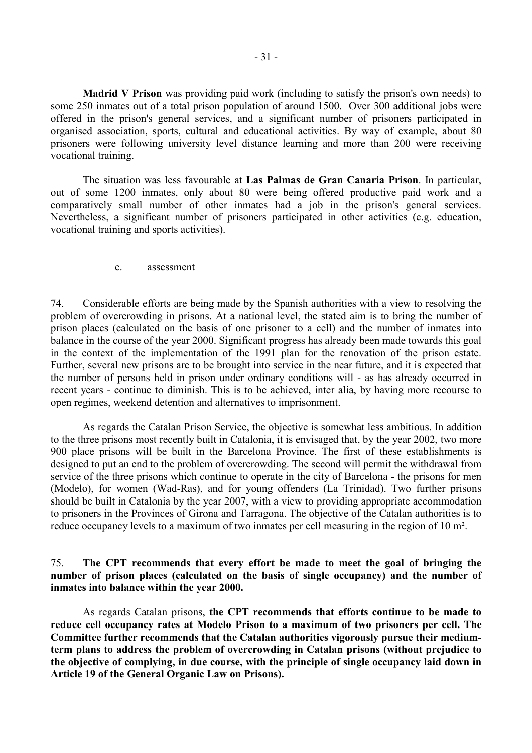<span id="page-32-0"></span>**Madrid V Prison** was providing paid work (including to satisfy the prison's own needs) to some 250 inmates out of a total prison population of around 1500. Over 300 additional jobs were offered in the prison's general services, and a significant number of prisoners participated in organised association, sports, cultural and educational activities. By way of example, about 80 prisoners were following university level distance learning and more than 200 were receiving vocational training.

The situation was less favourable at **Las Palmas de Gran Canaria Prison**. In particular, out of some 1200 inmates, only about 80 were being offered productive paid work and a comparatively small number of other inmates had a job in the prison's general services. Nevertheless, a significant number of prisoners participated in other activities (e.g. education, vocational training and sports activities).

c. assessment

74. Considerable efforts are being made by the Spanish authorities with a view to resolving the problem of overcrowding in prisons. At a national level, the stated aim is to bring the number of prison places (calculated on the basis of one prisoner to a cell) and the number of inmates into balance in the course of the year 2000. Significant progress has already been made towards this goal in the context of the implementation of the 1991 plan for the renovation of the prison estate. Further, several new prisons are to be brought into service in the near future, and it is expected that the number of persons held in prison under ordinary conditions will - as has already occurred in recent years - continue to diminish. This is to be achieved, inter alia, by having more recourse to open regimes, weekend detention and alternatives to imprisonment.

As regards the Catalan Prison Service, the objective is somewhat less ambitious. In addition to the three prisons most recently built in Catalonia, it is envisaged that, by the year 2002, two more 900 place prisons will be built in the Barcelona Province. The first of these establishments is designed to put an end to the problem of overcrowding. The second will permit the withdrawal from service of the three prisons which continue to operate in the city of Barcelona - the prisons for men (Modelo), for women (Wad-Ras), and for young offenders (La Trinidad). Two further prisons should be built in Catalonia by the year 2007, with a view to providing appropriate accommodation to prisoners in the Provinces of Girona and Tarragona. The objective of the Catalan authorities is to reduce occupancy levels to a maximum of two inmates per cell measuring in the region of 10 m².

75. **The CPT recommends that every effort be made to meet the goal of bringing the number of prison places (calculated on the basis of single occupancy) and the number of inmates into balance within the year 2000.** 

 As regards Catalan prisons, **the CPT recommends that efforts continue to be made to reduce cell occupancy rates at Modelo Prison to a maximum of two prisoners per cell. The Committee further recommends that the Catalan authorities vigorously pursue their mediumterm plans to address the problem of overcrowding in Catalan prisons (without prejudice to the objective of complying, in due course, with the principle of single occupancy laid down in Article 19 of the General Organic Law on Prisons).**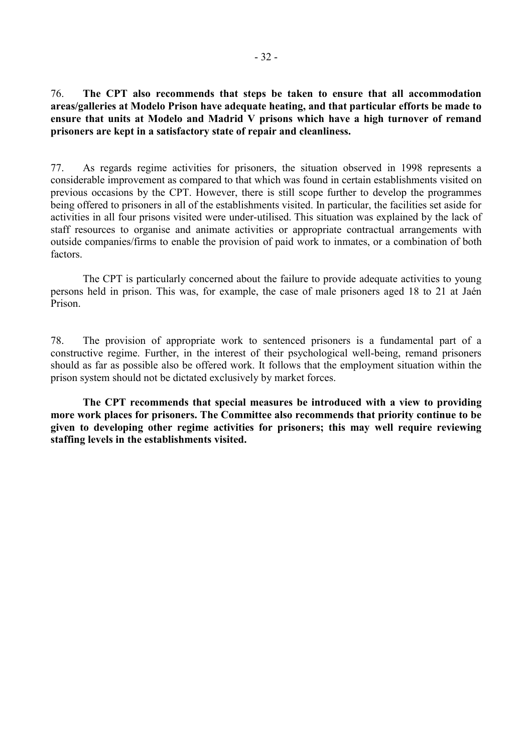76. **The CPT also recommends that steps be taken to ensure that all accommodation areas/galleries at Modelo Prison have adequate heating, and that particular efforts be made to ensure that units at Modelo and Madrid V prisons which have a high turnover of remand prisoners are kept in a satisfactory state of repair and cleanliness.**

77. As regards regime activities for prisoners, the situation observed in 1998 represents a considerable improvement as compared to that which was found in certain establishments visited on previous occasions by the CPT. However, there is still scope further to develop the programmes being offered to prisoners in all of the establishments visited. In particular, the facilities set aside for activities in all four prisons visited were under-utilised. This situation was explained by the lack of staff resources to organise and animate activities or appropriate contractual arrangements with outside companies/firms to enable the provision of paid work to inmates, or a combination of both factors.

 The CPT is particularly concerned about the failure to provide adequate activities to young persons held in prison. This was, for example, the case of male prisoners aged 18 to 21 at Jaén Prison.

78. The provision of appropriate work to sentenced prisoners is a fundamental part of a constructive regime. Further, in the interest of their psychological well-being, remand prisoners should as far as possible also be offered work. It follows that the employment situation within the prison system should not be dictated exclusively by market forces.

**The CPT recommends that special measures be introduced with a view to providing more work places for prisoners. The Committee also recommends that priority continue to be given to developing other regime activities for prisoners; this may well require reviewing staffing levels in the establishments visited.**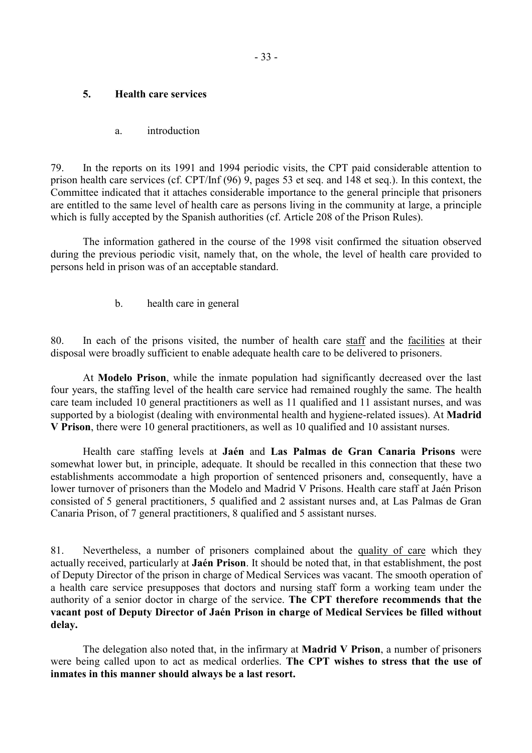### <span id="page-34-0"></span>**5. Health care services**

#### a. introduction

79. In the reports on its 1991 and 1994 periodic visits, the CPT paid considerable attention to prison health care services (cf. CPT/Inf (96) 9, pages 53 et seq. and 148 et seq.). In this context, the Committee indicated that it attaches considerable importance to the general principle that prisoners are entitled to the same level of health care as persons living in the community at large, a principle which is fully accepted by the Spanish authorities (cf. Article 208 of the Prison Rules).

 The information gathered in the course of the 1998 visit confirmed the situation observed during the previous periodic visit, namely that, on the whole, the level of health care provided to persons held in prison was of an acceptable standard.

b. health care in general

80. In each of the prisons visited, the number of health care staff and the facilities at their disposal were broadly sufficient to enable adequate health care to be delivered to prisoners.

 At **Modelo Prison**, while the inmate population had significantly decreased over the last four years, the staffing level of the health care service had remained roughly the same. The health care team included 10 general practitioners as well as 11 qualified and 11 assistant nurses, and was supported by a biologist (dealing with environmental health and hygiene-related issues). At **Madrid V Prison**, there were 10 general practitioners, as well as 10 qualified and 10 assistant nurses.

 Health care staffing levels at **Jaén** and **Las Palmas de Gran Canaria Prisons** were somewhat lower but, in principle, adequate. It should be recalled in this connection that these two establishments accommodate a high proportion of sentenced prisoners and, consequently, have a lower turnover of prisoners than the Modelo and Madrid V Prisons. Health care staff at Jaén Prison consisted of 5 general practitioners, 5 qualified and 2 assistant nurses and, at Las Palmas de Gran Canaria Prison, of 7 general practitioners, 8 qualified and 5 assistant nurses.

81. Nevertheless, a number of prisoners complained about the quality of care which they actually received, particularly at **Jaén Prison**. It should be noted that, in that establishment, the post of Deputy Director of the prison in charge of Medical Services was vacant. The smooth operation of a health care service presupposes that doctors and nursing staff form a working team under the authority of a senior doctor in charge of the service. **The CPT therefore recommends that the vacant post of Deputy Director of Jaén Prison in charge of Medical Services be filled without delay.**

 The delegation also noted that, in the infirmary at **Madrid V Prison**, a number of prisoners were being called upon to act as medical orderlies. **The CPT wishes to stress that the use of inmates in this manner should always be a last resort.**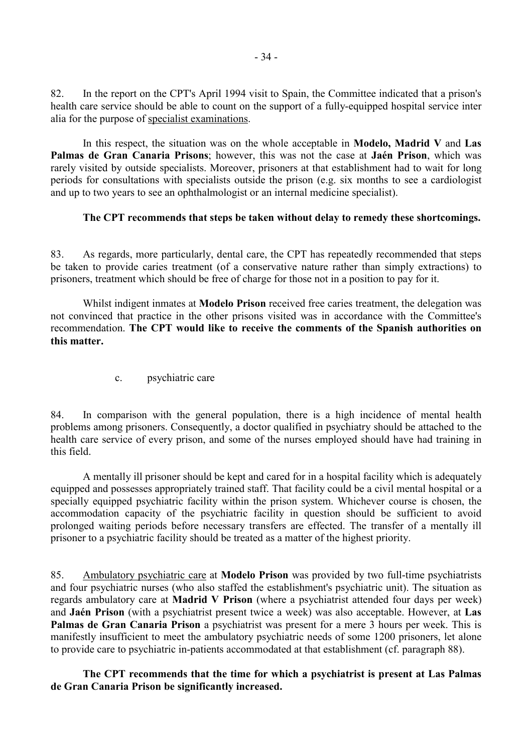<span id="page-35-0"></span>82. In the report on the CPT's April 1994 visit to Spain, the Committee indicated that a prison's health care service should be able to count on the support of a fully-equipped hospital service inter alia for the purpose of specialist examinations.

 In this respect, the situation was on the whole acceptable in **Modelo, Madrid V** and **Las Palmas de Gran Canaria Prisons**; however, this was not the case at **Jaén Prison**, which was rarely visited by outside specialists. Moreover, prisoners at that establishment had to wait for long periods for consultations with specialists outside the prison (e.g. six months to see a cardiologist and up to two years to see an ophthalmologist or an internal medicine specialist).

## **The CPT recommends that steps be taken without delay to remedy these shortcomings.**

83. As regards, more particularly, dental care, the CPT has repeatedly recommended that steps be taken to provide caries treatment (of a conservative nature rather than simply extractions) to prisoners, treatment which should be free of charge for those not in a position to pay for it.

 Whilst indigent inmates at **Modelo Prison** received free caries treatment, the delegation was not convinced that practice in the other prisons visited was in accordance with the Committee's recommendation. **The CPT would like to receive the comments of the Spanish authorities on this matter.** 

c. psychiatric care

84. In comparison with the general population, there is a high incidence of mental health problems among prisoners. Consequently, a doctor qualified in psychiatry should be attached to the health care service of every prison, and some of the nurses employed should have had training in this field.

 A mentally ill prisoner should be kept and cared for in a hospital facility which is adequately equipped and possesses appropriately trained staff. That facility could be a civil mental hospital or a specially equipped psychiatric facility within the prison system. Whichever course is chosen, the accommodation capacity of the psychiatric facility in question should be sufficient to avoid prolonged waiting periods before necessary transfers are effected. The transfer of a mentally ill prisoner to a psychiatric facility should be treated as a matter of the highest priority.

85. Ambulatory psychiatric care at **Modelo Prison** was provided by two full-time psychiatrists and four psychiatric nurses (who also staffed the establishment's psychiatric unit). The situation as regards ambulatory care at **Madrid V Prison** (where a psychiatrist attended four days per week) and **Jaén Prison** (with a psychiatrist present twice a week) was also acceptable. However, at **Las Palmas de Gran Canaria Prison** a psychiatrist was present for a mere 3 hours per week. This is manifestly insufficient to meet the ambulatory psychiatric needs of some 1200 prisoners, let alone to provide care to psychiatric in-patients accommodated at that establishment (cf. paragraph 88).

 **The CPT recommends that the time for which a psychiatrist is present at Las Palmas de Gran Canaria Prison be significantly increased.**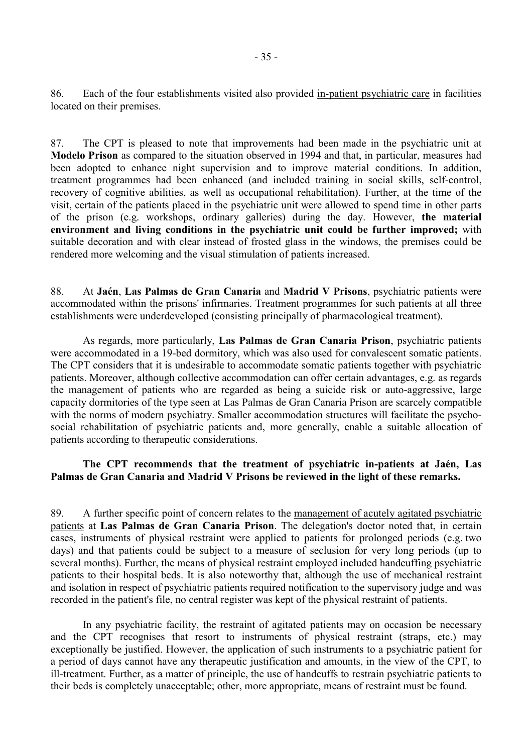86. Each of the four establishments visited also provided in-patient psychiatric care in facilities located on their premises.

87. The CPT is pleased to note that improvements had been made in the psychiatric unit at **Modelo Prison** as compared to the situation observed in 1994 and that, in particular, measures had been adopted to enhance night supervision and to improve material conditions. In addition, treatment programmes had been enhanced (and included training in social skills, self-control, recovery of cognitive abilities, as well as occupational rehabilitation). Further, at the time of the visit, certain of the patients placed in the psychiatric unit were allowed to spend time in other parts of the prison (e.g. workshops, ordinary galleries) during the day. However, **the material environment and living conditions in the psychiatric unit could be further improved;** with suitable decoration and with clear instead of frosted glass in the windows, the premises could be rendered more welcoming and the visual stimulation of patients increased.

88. At **Jaén**, **Las Palmas de Gran Canaria** and **Madrid V Prisons**, psychiatric patients were accommodated within the prisons' infirmaries. Treatment programmes for such patients at all three establishments were underdeveloped (consisting principally of pharmacological treatment).

 As regards, more particularly, **Las Palmas de Gran Canaria Prison**, psychiatric patients were accommodated in a 19-bed dormitory, which was also used for convalescent somatic patients. The CPT considers that it is undesirable to accommodate somatic patients together with psychiatric patients. Moreover, although collective accommodation can offer certain advantages, e.g. as regards the management of patients who are regarded as being a suicide risk or auto-aggressive, large capacity dormitories of the type seen at Las Palmas de Gran Canaria Prison are scarcely compatible with the norms of modern psychiatry. Smaller accommodation structures will facilitate the psychosocial rehabilitation of psychiatric patients and, more generally, enable a suitable allocation of patients according to therapeutic considerations.

### **The CPT recommends that the treatment of psychiatric in-patients at Jaén, Las Palmas de Gran Canaria and Madrid V Prisons be reviewed in the light of these remarks.**

89. A further specific point of concern relates to the management of acutely agitated psychiatric patients at **Las Palmas de Gran Canaria Prison**. The delegation's doctor noted that, in certain cases, instruments of physical restraint were applied to patients for prolonged periods (e.g. two days) and that patients could be subject to a measure of seclusion for very long periods (up to several months). Further, the means of physical restraint employed included handcuffing psychiatric patients to their hospital beds. It is also noteworthy that, although the use of mechanical restraint and isolation in respect of psychiatric patients required notification to the supervisory judge and was recorded in the patient's file, no central register was kept of the physical restraint of patients.

 In any psychiatric facility, the restraint of agitated patients may on occasion be necessary and the CPT recognises that resort to instruments of physical restraint (straps, etc.) may exceptionally be justified. However, the application of such instruments to a psychiatric patient for a period of days cannot have any therapeutic justification and amounts, in the view of the CPT, to ill-treatment. Further, as a matter of principle, the use of handcuffs to restrain psychiatric patients to their beds is completely unacceptable; other, more appropriate, means of restraint must be found.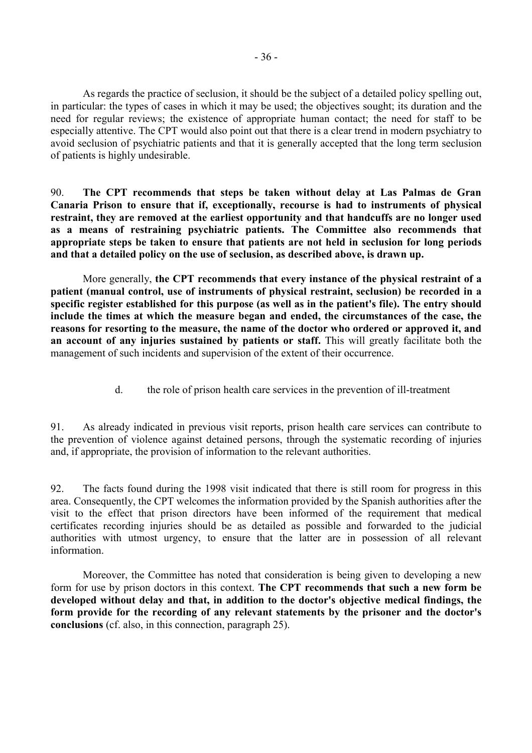<span id="page-37-0"></span> As regards the practice of seclusion, it should be the subject of a detailed policy spelling out, in particular: the types of cases in which it may be used; the objectives sought; its duration and the need for regular reviews; the existence of appropriate human contact; the need for staff to be especially attentive. The CPT would also point out that there is a clear trend in modern psychiatry to avoid seclusion of psychiatric patients and that it is generally accepted that the long term seclusion of patients is highly undesirable.

90. **The CPT recommends that steps be taken without delay at Las Palmas de Gran Canaria Prison to ensure that if, exceptionally, recourse is had to instruments of physical restraint, they are removed at the earliest opportunity and that handcuffs are no longer used as a means of restraining psychiatric patients. The Committee also recommends that appropriate steps be taken to ensure that patients are not held in seclusion for long periods and that a detailed policy on the use of seclusion, as described above, is drawn up.** 

 More generally, **the CPT recommends that every instance of the physical restraint of a patient (manual control, use of instruments of physical restraint, seclusion) be recorded in a specific register established for this purpose (as well as in the patient's file). The entry should include the times at which the measure began and ended, the circumstances of the case, the reasons for resorting to the measure, the name of the doctor who ordered or approved it, and an account of any injuries sustained by patients or staff.** This will greatly facilitate both the management of such incidents and supervision of the extent of their occurrence.

d. the role of prison health care services in the prevention of ill-treatment

91. As already indicated in previous visit reports, prison health care services can contribute to the prevention of violence against detained persons, through the systematic recording of injuries and, if appropriate, the provision of information to the relevant authorities.

92. The facts found during the 1998 visit indicated that there is still room for progress in this area. Consequently, the CPT welcomes the information provided by the Spanish authorities after the visit to the effect that prison directors have been informed of the requirement that medical certificates recording injuries should be as detailed as possible and forwarded to the judicial authorities with utmost urgency, to ensure that the latter are in possession of all relevant information.

Moreover, the Committee has noted that consideration is being given to developing a new form for use by prison doctors in this context. **The CPT recommends that such a new form be developed without delay and that, in addition to the doctor's objective medical findings, the form provide for the recording of any relevant statements by the prisoner and the doctor's conclusions** (cf. also, in this connection, paragraph 25).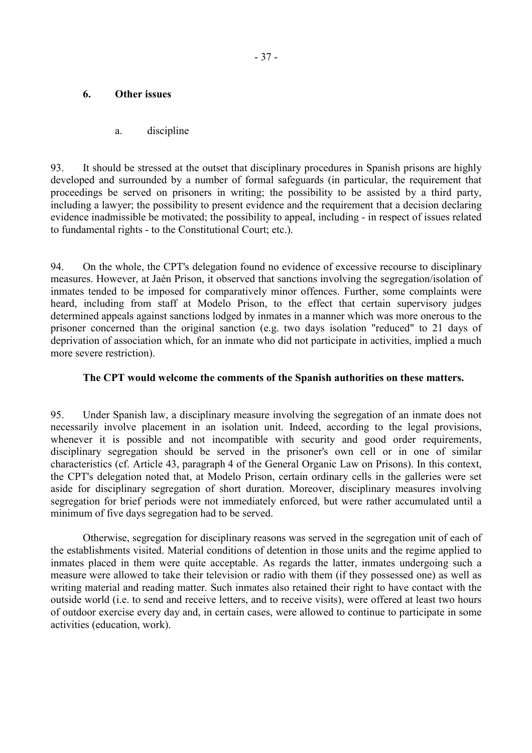### <span id="page-38-0"></span>**6. Other issues**

### a. discipline

93. It should be stressed at the outset that disciplinary procedures in Spanish prisons are highly developed and surrounded by a number of formal safeguards (in particular, the requirement that proceedings be served on prisoners in writing; the possibility to be assisted by a third party, including a lawyer; the possibility to present evidence and the requirement that a decision declaring evidence inadmissible be motivated; the possibility to appeal, including - in respect of issues related to fundamental rights - to the Constitutional Court; etc.).

94. On the whole, the CPT's delegation found no evidence of excessive recourse to disciplinary measures. However, at Jaén Prison, it observed that sanctions involving the segregation/isolation of inmates tended to be imposed for comparatively minor offences. Further, some complaints were heard, including from staff at Modelo Prison, to the effect that certain supervisory judges determined appeals against sanctions lodged by inmates in a manner which was more onerous to the prisoner concerned than the original sanction (e.g. two days isolation "reduced" to 21 days of deprivation of association which, for an inmate who did not participate in activities, implied a much more severe restriction).

### **The CPT would welcome the comments of the Spanish authorities on these matters.**

95. Under Spanish law, a disciplinary measure involving the segregation of an inmate does not necessarily involve placement in an isolation unit. Indeed, according to the legal provisions, whenever it is possible and not incompatible with security and good order requirements, disciplinary segregation should be served in the prisoner's own cell or in one of similar characteristics (cf. Article 43, paragraph 4 of the General Organic Law on Prisons). In this context, the CPT's delegation noted that, at Modelo Prison, certain ordinary cells in the galleries were set aside for disciplinary segregation of short duration. Moreover, disciplinary measures involving segregation for brief periods were not immediately enforced, but were rather accumulated until a minimum of five days segregation had to be served.

 Otherwise, segregation for disciplinary reasons was served in the segregation unit of each of the establishments visited. Material conditions of detention in those units and the regime applied to inmates placed in them were quite acceptable. As regards the latter, inmates undergoing such a measure were allowed to take their television or radio with them (if they possessed one) as well as writing material and reading matter. Such inmates also retained their right to have contact with the outside world (i.e. to send and receive letters, and to receive visits), were offered at least two hours of outdoor exercise every day and, in certain cases, were allowed to continue to participate in some activities (education, work).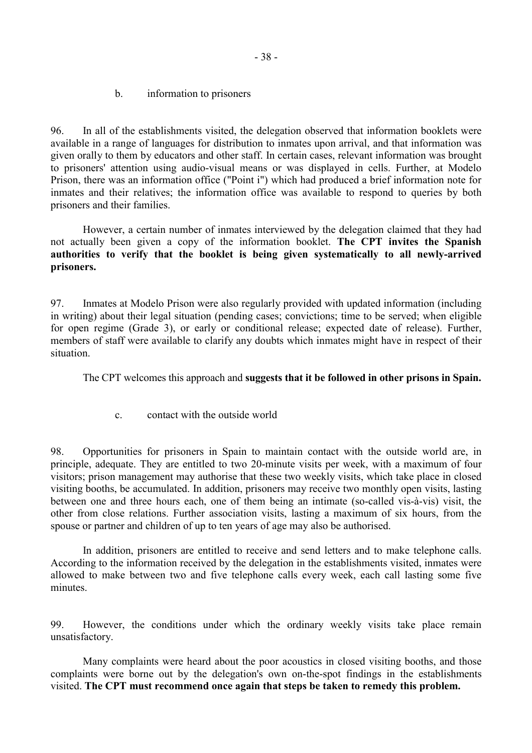b. information to prisoners

<span id="page-39-0"></span>96. In all of the establishments visited, the delegation observed that information booklets were available in a range of languages for distribution to inmates upon arrival, and that information was given orally to them by educators and other staff. In certain cases, relevant information was brought to prisoners' attention using audio-visual means or was displayed in cells. Further, at Modelo Prison, there was an information office ("Point i") which had produced a brief information note for inmates and their relatives; the information office was available to respond to queries by both prisoners and their families.

 However, a certain number of inmates interviewed by the delegation claimed that they had not actually been given a copy of the information booklet. **The CPT invites the Spanish authorities to verify that the booklet is being given systematically to all newly-arrived prisoners.** 

97. Inmates at Modelo Prison were also regularly provided with updated information (including in writing) about their legal situation (pending cases; convictions; time to be served; when eligible for open regime (Grade 3), or early or conditional release; expected date of release). Further, members of staff were available to clarify any doubts which inmates might have in respect of their situation.

The CPT welcomes this approach and **suggests that it be followed in other prisons in Spain.**

c. contact with the outside world

98. Opportunities for prisoners in Spain to maintain contact with the outside world are, in principle, adequate. They are entitled to two 20-minute visits per week, with a maximum of four visitors; prison management may authorise that these two weekly visits, which take place in closed visiting booths, be accumulated. In addition, prisoners may receive two monthly open visits, lasting between one and three hours each, one of them being an intimate (so-called vis-à-vis) visit, the other from close relations. Further association visits, lasting a maximum of six hours, from the spouse or partner and children of up to ten years of age may also be authorised.

 In addition, prisoners are entitled to receive and send letters and to make telephone calls. According to the information received by the delegation in the establishments visited, inmates were allowed to make between two and five telephone calls every week, each call lasting some five minutes.

99. However, the conditions under which the ordinary weekly visits take place remain unsatisfactory.

 Many complaints were heard about the poor acoustics in closed visiting booths, and those complaints were borne out by the delegation's own on-the-spot findings in the establishments visited. **The CPT must recommend once again that steps be taken to remedy this problem.**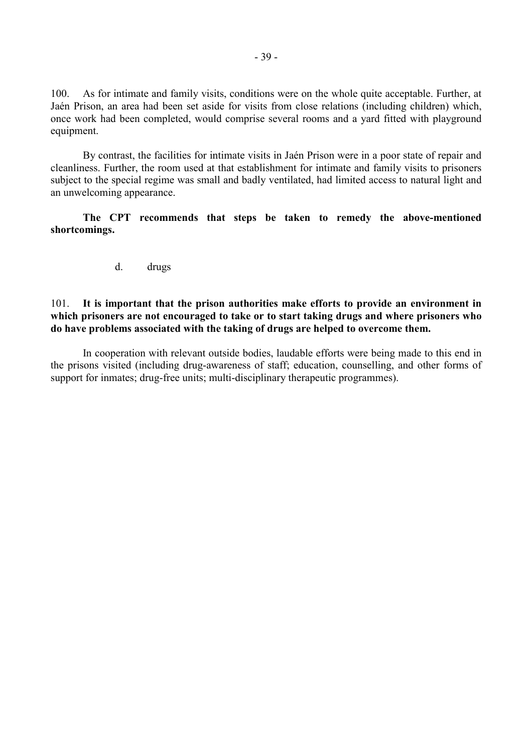<span id="page-40-0"></span>100. As for intimate and family visits, conditions were on the whole quite acceptable. Further, at Jaén Prison, an area had been set aside for visits from close relations (including children) which, once work had been completed, would comprise several rooms and a yard fitted with playground equipment.

 By contrast, the facilities for intimate visits in Jaén Prison were in a poor state of repair and cleanliness. Further, the room used at that establishment for intimate and family visits to prisoners subject to the special regime was small and badly ventilated, had limited access to natural light and an unwelcoming appearance.

**The CPT recommends that steps be taken to remedy the above-mentioned shortcomings.** 

d. drugs

#### 101. **It is important that the prison authorities make efforts to provide an environment in which prisoners are not encouraged to take or to start taking drugs and where prisoners who do have problems associated with the taking of drugs are helped to overcome them.**

 In cooperation with relevant outside bodies, laudable efforts were being made to this end in the prisons visited (including drug-awareness of staff; education, counselling, and other forms of support for inmates; drug-free units; multi-disciplinary therapeutic programmes).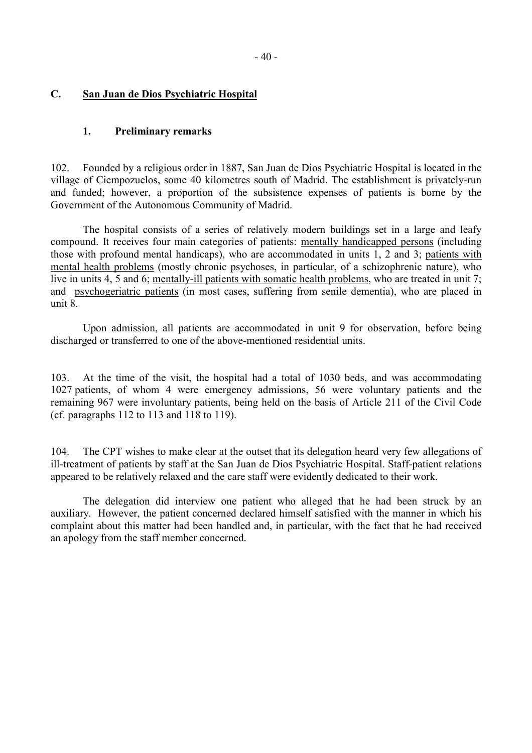### <span id="page-41-0"></span>**C. San Juan de Dios Psychiatric Hospital**

#### **1. Preliminary remarks**

102. Founded by a religious order in 1887, San Juan de Dios Psychiatric Hospital is located in the village of Ciempozuelos, some 40 kilometres south of Madrid. The establishment is privately-run and funded; however, a proportion of the subsistence expenses of patients is borne by the Government of the Autonomous Community of Madrid.

 The hospital consists of a series of relatively modern buildings set in a large and leafy compound. It receives four main categories of patients: mentally handicapped persons (including those with profound mental handicaps), who are accommodated in units 1, 2 and 3; patients with mental health problems (mostly chronic psychoses, in particular, of a schizophrenic nature), who live in units 4, 5 and 6; mentally-ill patients with somatic health problems, who are treated in unit 7; and psychogeriatric patients (in most cases, suffering from senile dementia), who are placed in unit 8.

 Upon admission, all patients are accommodated in unit 9 for observation, before being discharged or transferred to one of the above-mentioned residential units.

103. At the time of the visit, the hospital had a total of 1030 beds, and was accommodating 1027 patients, of whom 4 were emergency admissions, 56 were voluntary patients and the remaining 967 were involuntary patients, being held on the basis of Article 211 of the Civil Code (cf. paragraphs 112 to 113 and 118 to 119).

104. The CPT wishes to make clear at the outset that its delegation heard very few allegations of ill-treatment of patients by staff at the San Juan de Dios Psychiatric Hospital. Staff-patient relations appeared to be relatively relaxed and the care staff were evidently dedicated to their work.

 The delegation did interview one patient who alleged that he had been struck by an auxiliary. However, the patient concerned declared himself satisfied with the manner in which his complaint about this matter had been handled and, in particular, with the fact that he had received an apology from the staff member concerned.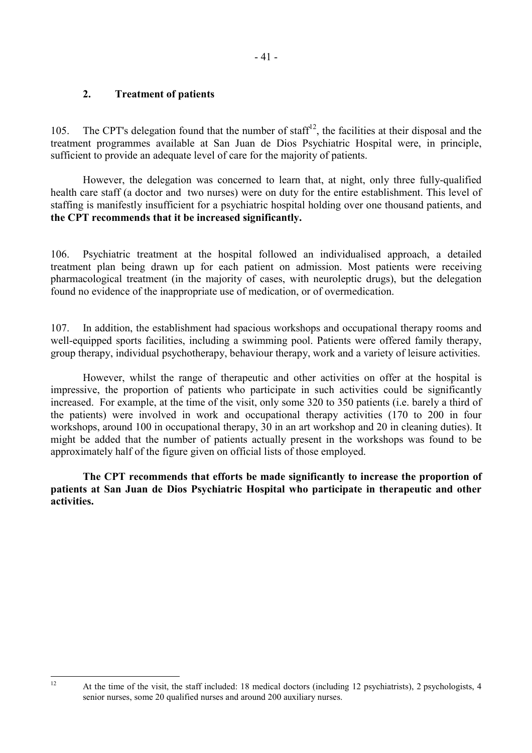## <span id="page-42-0"></span>**2. Treatment of patients**

105. The CPT's delegation found that the number of staff<sup>12</sup>, the facilities at their disposal and the treatment programmes available at San Juan de Dios Psychiatric Hospital were, in principle, sufficient to provide an adequate level of care for the majority of patients.

 However, the delegation was concerned to learn that, at night, only three fully-qualified health care staff (a doctor and two nurses) were on duty for the entire establishment. This level of staffing is manifestly insufficient for a psychiatric hospital holding over one thousand patients, and **the CPT recommends that it be increased significantly.**

106. Psychiatric treatment at the hospital followed an individualised approach, a detailed treatment plan being drawn up for each patient on admission. Most patients were receiving pharmacological treatment (in the majority of cases, with neuroleptic drugs), but the delegation found no evidence of the inappropriate use of medication, or of overmedication.

107. In addition, the establishment had spacious workshops and occupational therapy rooms and well-equipped sports facilities, including a swimming pool. Patients were offered family therapy, group therapy, individual psychotherapy, behaviour therapy, work and a variety of leisure activities.

 However, whilst the range of therapeutic and other activities on offer at the hospital is impressive, the proportion of patients who participate in such activities could be significantly increased. For example, at the time of the visit, only some 320 to 350 patients (i.e. barely a third of the patients) were involved in work and occupational therapy activities (170 to 200 in four workshops, around 100 in occupational therapy, 30 in an art workshop and 20 in cleaning duties). It might be added that the number of patients actually present in the workshops was found to be approximately half of the figure given on official lists of those employed.

**The CPT recommends that efforts be made significantly to increase the proportion of patients at San Juan de Dios Psychiatric Hospital who participate in therapeutic and other activities.**

 $12$ 

At the time of the visit, the staff included: 18 medical doctors (including 12 psychiatrists), 2 psychologists, 4 senior nurses, some 20 qualified nurses and around 200 auxiliary nurses.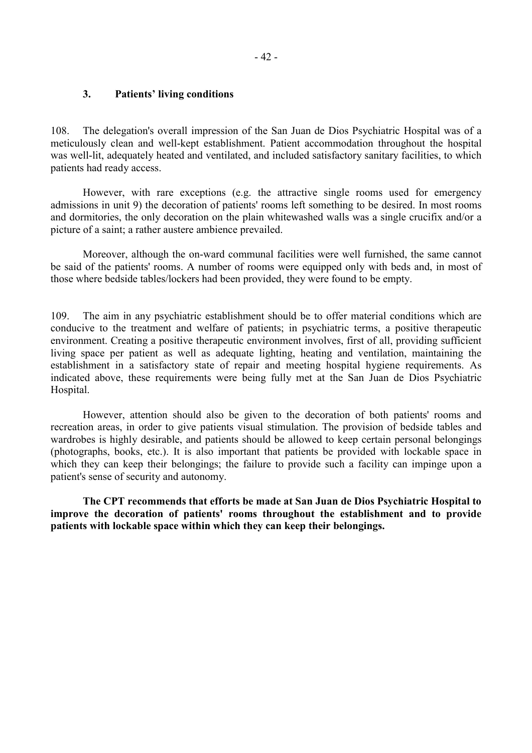### <span id="page-43-0"></span>**3. Patients' living conditions**

108. The delegation's overall impression of the San Juan de Dios Psychiatric Hospital was of a meticulously clean and well-kept establishment. Patient accommodation throughout the hospital was well-lit, adequately heated and ventilated, and included satisfactory sanitary facilities, to which patients had ready access.

 However, with rare exceptions (e.g. the attractive single rooms used for emergency admissions in unit 9) the decoration of patients' rooms left something to be desired. In most rooms and dormitories, the only decoration on the plain whitewashed walls was a single crucifix and/or a picture of a saint; a rather austere ambience prevailed.

 Moreover, although the on-ward communal facilities were well furnished, the same cannot be said of the patients' rooms. A number of rooms were equipped only with beds and, in most of those where bedside tables/lockers had been provided, they were found to be empty.

109. The aim in any psychiatric establishment should be to offer material conditions which are conducive to the treatment and welfare of patients; in psychiatric terms, a positive therapeutic environment. Creating a positive therapeutic environment involves, first of all, providing sufficient living space per patient as well as adequate lighting, heating and ventilation, maintaining the establishment in a satisfactory state of repair and meeting hospital hygiene requirements. As indicated above, these requirements were being fully met at the San Juan de Dios Psychiatric Hospital.

 However, attention should also be given to the decoration of both patients' rooms and recreation areas, in order to give patients visual stimulation. The provision of bedside tables and wardrobes is highly desirable, and patients should be allowed to keep certain personal belongings (photographs, books, etc.). It is also important that patients be provided with lockable space in which they can keep their belongings; the failure to provide such a facility can impinge upon a patient's sense of security and autonomy.

 **The CPT recommends that efforts be made at San Juan de Dios Psychiatric Hospital to improve the decoration of patients' rooms throughout the establishment and to provide patients with lockable space within which they can keep their belongings.**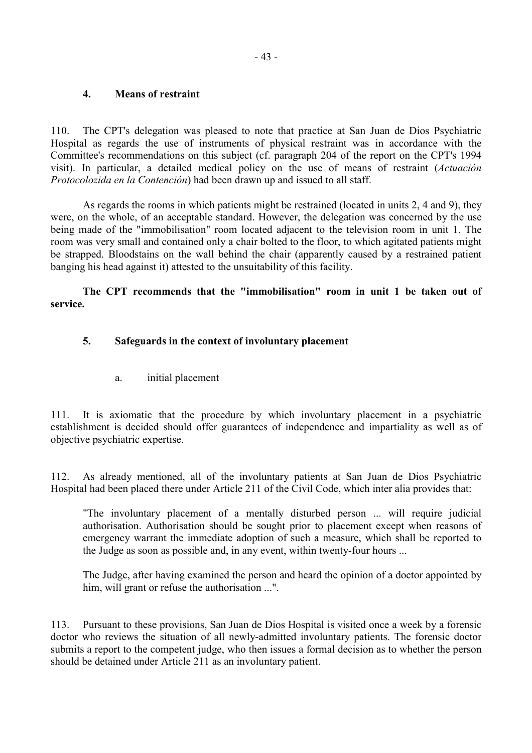### <span id="page-44-0"></span>**4. Means of restraint**

110. The CPT's delegation was pleased to note that practice at San Juan de Dios Psychiatric Hospital as regards the use of instruments of physical restraint was in accordance with the Committee's recommendations on this subject (cf. paragraph 204 of the report on the CPT's 1994 visit). In particular, a detailed medical policy on the use of means of restraint (*Actuación Protocolozida en la Contención*) had been drawn up and issued to all staff.

 As regards the rooms in which patients might be restrained (located in units 2, 4 and 9), they were, on the whole, of an acceptable standard. However, the delegation was concerned by the use being made of the "immobilisation" room located adjacent to the television room in unit 1. The room was very small and contained only a chair bolted to the floor, to which agitated patients might be strapped. Bloodstains on the wall behind the chair (apparently caused by a restrained patient banging his head against it) attested to the unsuitability of this facility.

### **The CPT recommends that the "immobilisation" room in unit 1 be taken out of service.**

## **5. Safeguards in the context of involuntary placement**

a. initial placement

111. It is axiomatic that the procedure by which involuntary placement in a psychiatric establishment is decided should offer guarantees of independence and impartiality as well as of objective psychiatric expertise.

112. As already mentioned, all of the involuntary patients at San Juan de Dios Psychiatric Hospital had been placed there under Article 211 of the Civil Code, which inter alia provides that:

"The involuntary placement of a mentally disturbed person ... will require judicial authorisation. Authorisation should be sought prior to placement except when reasons of emergency warrant the immediate adoption of such a measure, which shall be reported to the Judge as soon as possible and, in any event, within twenty-four hours ...

The Judge, after having examined the person and heard the opinion of a doctor appointed by him, will grant or refuse the authorisation ...".

113. Pursuant to these provisions, San Juan de Dios Hospital is visited once a week by a forensic doctor who reviews the situation of all newly-admitted involuntary patients. The forensic doctor submits a report to the competent judge, who then issues a formal decision as to whether the person should be detained under Article 211 as an involuntary patient.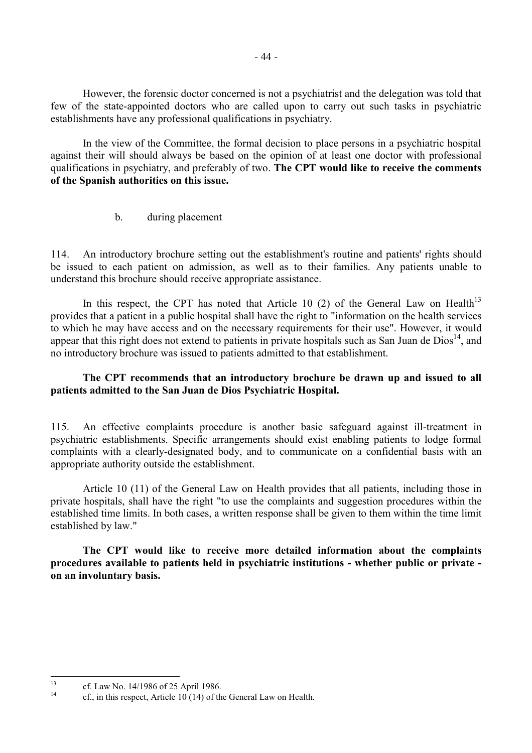<span id="page-45-0"></span>However, the forensic doctor concerned is not a psychiatrist and the delegation was told that few of the state-appointed doctors who are called upon to carry out such tasks in psychiatric establishments have any professional qualifications in psychiatry.

In the view of the Committee, the formal decision to place persons in a psychiatric hospital against their will should always be based on the opinion of at least one doctor with professional qualifications in psychiatry, and preferably of two. **The CPT would like to receive the comments of the Spanish authorities on this issue.** 

b. during placement

114. An introductory brochure setting out the establishment's routine and patients' rights should be issued to each patient on admission, as well as to their families. Any patients unable to understand this brochure should receive appropriate assistance.

In this respect, the CPT has noted that Article 10 (2) of the General Law on Health<sup>13</sup> provides that a patient in a public hospital shall have the right to "information on the health services to which he may have access and on the necessary requirements for their use". However, it would appear that this right does not extend to patients in private hospitals such as San Juan de  $Dios^{14}$ , and no introductory brochure was issued to patients admitted to that establishment.

### **The CPT recommends that an introductory brochure be drawn up and issued to all patients admitted to the San Juan de Dios Psychiatric Hospital.**

115. An effective complaints procedure is another basic safeguard against ill-treatment in psychiatric establishments. Specific arrangements should exist enabling patients to lodge formal complaints with a clearly-designated body, and to communicate on a confidential basis with an appropriate authority outside the establishment.

 Article 10 (11) of the General Law on Health provides that all patients, including those in private hospitals, shall have the right "to use the complaints and suggestion procedures within the established time limits. In both cases, a written response shall be given to them within the time limit established by law."

**The CPT would like to receive more detailed information about the complaints procedures available to patients held in psychiatric institutions - whether public or private on an involuntary basis.** 

 $13$ <sup>13</sup> cf. Law No. 14/1986 of 25 April 1986.

 $cf.$ , in this respect, Article 10 (14) of the General Law on Health.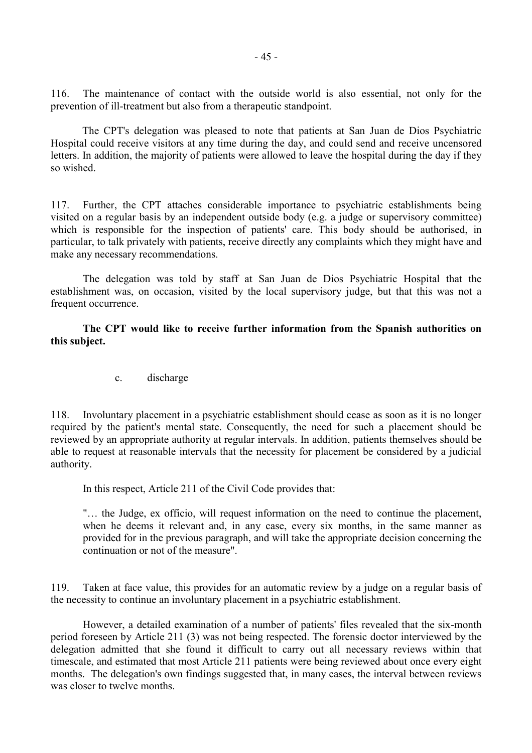<span id="page-46-0"></span>116. The maintenance of contact with the outside world is also essential, not only for the prevention of ill-treatment but also from a therapeutic standpoint.

 The CPT's delegation was pleased to note that patients at San Juan de Dios Psychiatric Hospital could receive visitors at any time during the day, and could send and receive uncensored letters. In addition, the majority of patients were allowed to leave the hospital during the day if they so wished.

117. Further, the CPT attaches considerable importance to psychiatric establishments being visited on a regular basis by an independent outside body (e.g. a judge or supervisory committee) which is responsible for the inspection of patients' care. This body should be authorised, in particular, to talk privately with patients, receive directly any complaints which they might have and make any necessary recommendations.

The delegation was told by staff at San Juan de Dios Psychiatric Hospital that the establishment was, on occasion, visited by the local supervisory judge, but that this was not a frequent occurrence.

**The CPT would like to receive further information from the Spanish authorities on this subject.** 

c. discharge

118. Involuntary placement in a psychiatric establishment should cease as soon as it is no longer required by the patient's mental state. Consequently, the need for such a placement should be reviewed by an appropriate authority at regular intervals. In addition, patients themselves should be able to request at reasonable intervals that the necessity for placement be considered by a judicial authority.

In this respect, Article 211 of the Civil Code provides that:

"… the Judge, ex officio, will request information on the need to continue the placement, when he deems it relevant and, in any case, every six months, in the same manner as provided for in the previous paragraph, and will take the appropriate decision concerning the continuation or not of the measure".

119. Taken at face value, this provides for an automatic review by a judge on a regular basis of the necessity to continue an involuntary placement in a psychiatric establishment.

However, a detailed examination of a number of patients' files revealed that the six-month period foreseen by Article 211 (3) was not being respected. The forensic doctor interviewed by the delegation admitted that she found it difficult to carry out all necessary reviews within that timescale, and estimated that most Article 211 patients were being reviewed about once every eight months. The delegation's own findings suggested that, in many cases, the interval between reviews was closer to twelve months.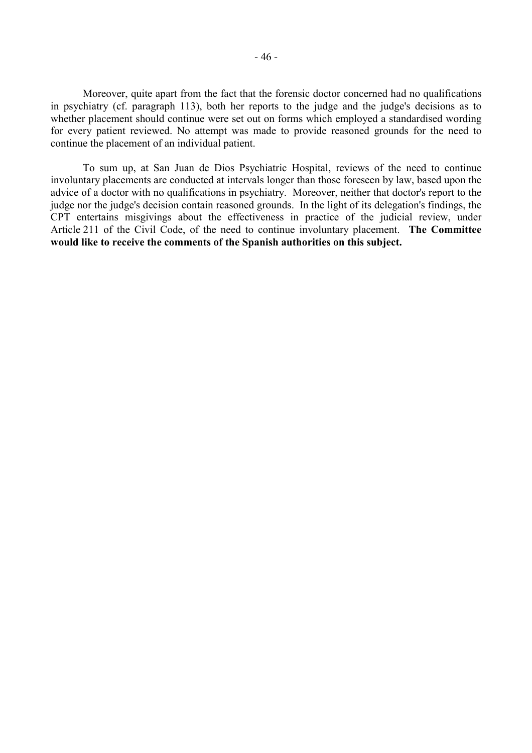Moreover, quite apart from the fact that the forensic doctor concerned had no qualifications in psychiatry (cf. paragraph 113), both her reports to the judge and the judge's decisions as to whether placement should continue were set out on forms which employed a standardised wording for every patient reviewed. No attempt was made to provide reasoned grounds for the need to continue the placement of an individual patient.

To sum up, at San Juan de Dios Psychiatric Hospital, reviews of the need to continue involuntary placements are conducted at intervals longer than those foreseen by law, based upon the advice of a doctor with no qualifications in psychiatry. Moreover, neither that doctor's report to the judge nor the judge's decision contain reasoned grounds. In the light of its delegation's findings, the CPT entertains misgivings about the effectiveness in practice of the judicial review, under Article 211 of the Civil Code, of the need to continue involuntary placement. **The Committee would like to receive the comments of the Spanish authorities on this subject.**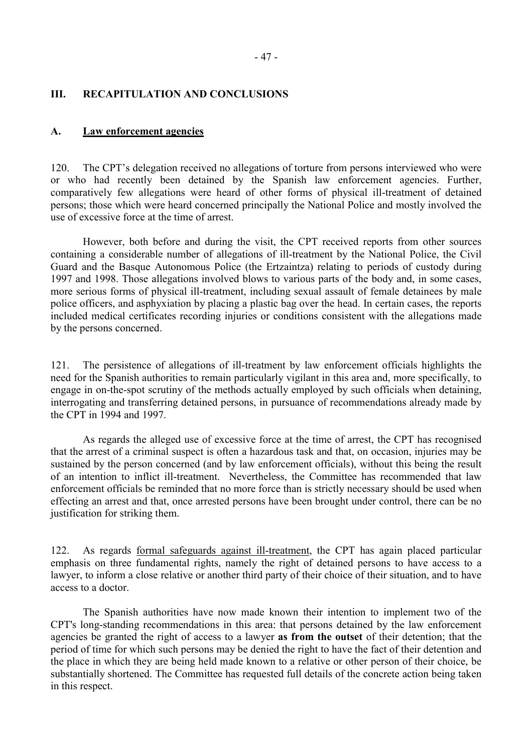### <span id="page-48-0"></span>**III. RECAPITULATION AND CONCLUSIONS**

#### **A. Law enforcement agencies**

120. The CPT's delegation received no allegations of torture from persons interviewed who were or who had recently been detained by the Spanish law enforcement agencies. Further, comparatively few allegations were heard of other forms of physical ill-treatment of detained persons; those which were heard concerned principally the National Police and mostly involved the use of excessive force at the time of arrest.

 However, both before and during the visit, the CPT received reports from other sources containing a considerable number of allegations of ill-treatment by the National Police, the Civil Guard and the Basque Autonomous Police (the Ertzaintza) relating to periods of custody during 1997 and 1998. Those allegations involved blows to various parts of the body and, in some cases, more serious forms of physical ill-treatment, including sexual assault of female detainees by male police officers, and asphyxiation by placing a plastic bag over the head. In certain cases, the reports included medical certificates recording injuries or conditions consistent with the allegations made by the persons concerned.

121. The persistence of allegations of ill-treatment by law enforcement officials highlights the need for the Spanish authorities to remain particularly vigilant in this area and, more specifically, to engage in on-the-spot scrutiny of the methods actually employed by such officials when detaining, interrogating and transferring detained persons, in pursuance of recommendations already made by the CPT in 1994 and 1997.

 As regards the alleged use of excessive force at the time of arrest, the CPT has recognised that the arrest of a criminal suspect is often a hazardous task and that, on occasion, injuries may be sustained by the person concerned (and by law enforcement officials), without this being the result of an intention to inflict ill-treatment. Nevertheless, the Committee has recommended that law enforcement officials be reminded that no more force than is strictly necessary should be used when effecting an arrest and that, once arrested persons have been brought under control, there can be no justification for striking them.

122. As regards formal safeguards against ill-treatment, the CPT has again placed particular emphasis on three fundamental rights, namely the right of detained persons to have access to a lawyer, to inform a close relative or another third party of their choice of their situation, and to have access to a doctor.

The Spanish authorities have now made known their intention to implement two of the CPT's long-standing recommendations in this area: that persons detained by the law enforcement agencies be granted the right of access to a lawyer **as from the outset** of their detention; that the period of time for which such persons may be denied the right to have the fact of their detention and the place in which they are being held made known to a relative or other person of their choice, be substantially shortened. The Committee has requested full details of the concrete action being taken in this respect.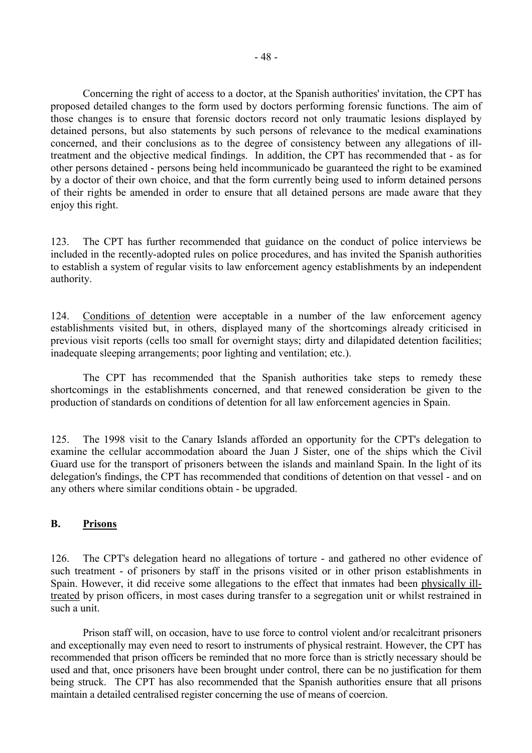<span id="page-49-0"></span> Concerning the right of access to a doctor, at the Spanish authorities' invitation, the CPT has proposed detailed changes to the form used by doctors performing forensic functions. The aim of those changes is to ensure that forensic doctors record not only traumatic lesions displayed by detained persons, but also statements by such persons of relevance to the medical examinations concerned, and their conclusions as to the degree of consistency between any allegations of illtreatment and the objective medical findings. In addition, the CPT has recommended that - as for other persons detained - persons being held incommunicado be guaranteed the right to be examined by a doctor of their own choice, and that the form currently being used to inform detained persons of their rights be amended in order to ensure that all detained persons are made aware that they enjoy this right.

123. The CPT has further recommended that guidance on the conduct of police interviews be included in the recently-adopted rules on police procedures, and has invited the Spanish authorities to establish a system of regular visits to law enforcement agency establishments by an independent authority.

124. Conditions of detention were acceptable in a number of the law enforcement agency establishments visited but, in others, displayed many of the shortcomings already criticised in previous visit reports (cells too small for overnight stays; dirty and dilapidated detention facilities; inadequate sleeping arrangements; poor lighting and ventilation; etc.).

 The CPT has recommended that the Spanish authorities take steps to remedy these shortcomings in the establishments concerned, and that renewed consideration be given to the production of standards on conditions of detention for all law enforcement agencies in Spain.

125. The 1998 visit to the Canary Islands afforded an opportunity for the CPT's delegation to examine the cellular accommodation aboard the Juan J Sister, one of the ships which the Civil Guard use for the transport of prisoners between the islands and mainland Spain. In the light of its delegation's findings, the CPT has recommended that conditions of detention on that vessel - and on any others where similar conditions obtain - be upgraded.

#### **B. Prisons**

126. The CPT's delegation heard no allegations of torture - and gathered no other evidence of such treatment - of prisoners by staff in the prisons visited or in other prison establishments in Spain. However, it did receive some allegations to the effect that inmates had been physically illtreated by prison officers, in most cases during transfer to a segregation unit or whilst restrained in such a unit.

Prison staff will, on occasion, have to use force to control violent and/or recalcitrant prisoners and exceptionally may even need to resort to instruments of physical restraint. However, the CPT has recommended that prison officers be reminded that no more force than is strictly necessary should be used and that, once prisoners have been brought under control, there can be no justification for them being struck. The CPT has also recommended that the Spanish authorities ensure that all prisons maintain a detailed centralised register concerning the use of means of coercion.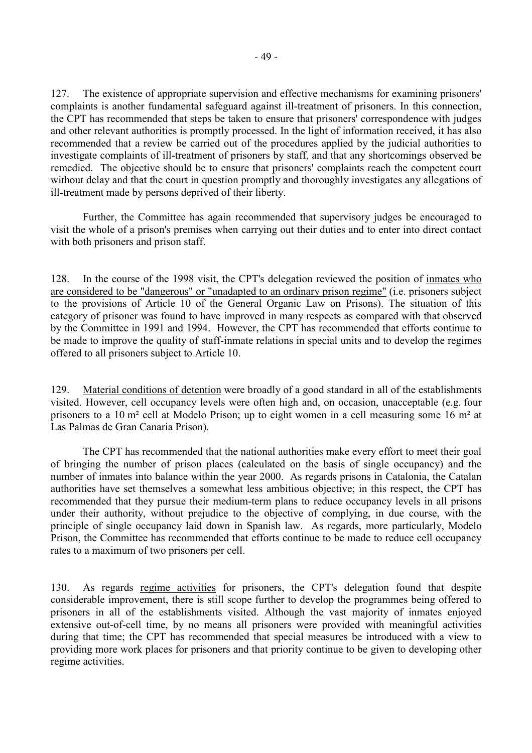127. The existence of appropriate supervision and effective mechanisms for examining prisoners' complaints is another fundamental safeguard against ill-treatment of prisoners. In this connection, the CPT has recommended that steps be taken to ensure that prisoners' correspondence with judges and other relevant authorities is promptly processed. In the light of information received, it has also recommended that a review be carried out of the procedures applied by the judicial authorities to investigate complaints of ill-treatment of prisoners by staff, and that any shortcomings observed be remedied. The objective should be to ensure that prisoners' complaints reach the competent court without delay and that the court in question promptly and thoroughly investigates any allegations of ill-treatment made by persons deprived of their liberty.

Further, the Committee has again recommended that supervisory judges be encouraged to visit the whole of a prison's premises when carrying out their duties and to enter into direct contact with both prisoners and prison staff.

128. In the course of the 1998 visit, the CPT's delegation reviewed the position of inmates who are considered to be "dangerous" or "unadapted to an ordinary prison regime" (i.e. prisoners subject to the provisions of Article 10 of the General Organic Law on Prisons). The situation of this category of prisoner was found to have improved in many respects as compared with that observed by the Committee in 1991 and 1994. However, the CPT has recommended that efforts continue to be made to improve the quality of staff-inmate relations in special units and to develop the regimes offered to all prisoners subject to Article 10.

129. Material conditions of detention were broadly of a good standard in all of the establishments visited. However, cell occupancy levels were often high and, on occasion, unacceptable (e.g. four prisoners to a 10 m² cell at Modelo Prison; up to eight women in a cell measuring some 16 m² at Las Palmas de Gran Canaria Prison).

 The CPT has recommended that the national authorities make every effort to meet their goal of bringing the number of prison places (calculated on the basis of single occupancy) and the number of inmates into balance within the year 2000. As regards prisons in Catalonia, the Catalan authorities have set themselves a somewhat less ambitious objective; in this respect, the CPT has recommended that they pursue their medium-term plans to reduce occupancy levels in all prisons under their authority, without prejudice to the objective of complying, in due course, with the principle of single occupancy laid down in Spanish law. As regards, more particularly, Modelo Prison, the Committee has recommended that efforts continue to be made to reduce cell occupancy rates to a maximum of two prisoners per cell.

130. As regards regime activities for prisoners, the CPT's delegation found that despite considerable improvement, there is still scope further to develop the programmes being offered to prisoners in all of the establishments visited. Although the vast majority of inmates enjoyed extensive out-of-cell time, by no means all prisoners were provided with meaningful activities during that time; the CPT has recommended that special measures be introduced with a view to providing more work places for prisoners and that priority continue to be given to developing other regime activities.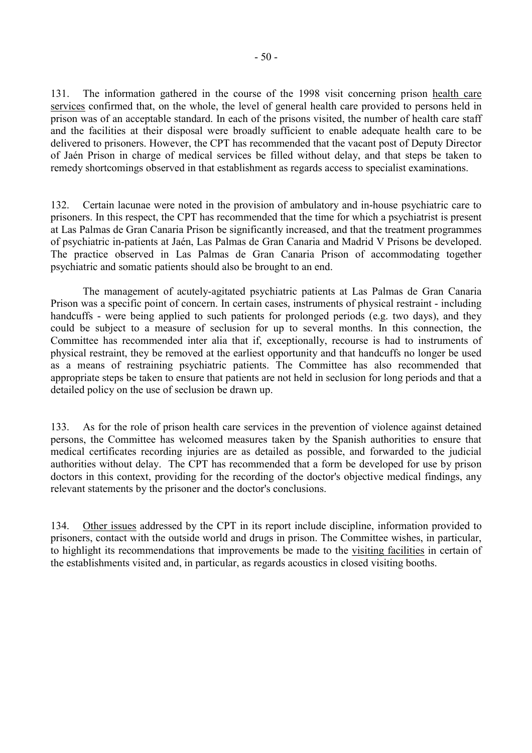131. The information gathered in the course of the 1998 visit concerning prison health care services confirmed that, on the whole, the level of general health care provided to persons held in prison was of an acceptable standard. In each of the prisons visited, the number of health care staff and the facilities at their disposal were broadly sufficient to enable adequate health care to be delivered to prisoners. However, the CPT has recommended that the vacant post of Deputy Director of Jaén Prison in charge of medical services be filled without delay, and that steps be taken to remedy shortcomings observed in that establishment as regards access to specialist examinations.

132. Certain lacunae were noted in the provision of ambulatory and in-house psychiatric care to prisoners. In this respect, the CPT has recommended that the time for which a psychiatrist is present at Las Palmas de Gran Canaria Prison be significantly increased, and that the treatment programmes of psychiatric in-patients at Jaén, Las Palmas de Gran Canaria and Madrid V Prisons be developed. The practice observed in Las Palmas de Gran Canaria Prison of accommodating together psychiatric and somatic patients should also be brought to an end.

The management of acutely-agitated psychiatric patients at Las Palmas de Gran Canaria Prison was a specific point of concern. In certain cases, instruments of physical restraint - including handcuffs - were being applied to such patients for prolonged periods (e.g. two days), and they could be subject to a measure of seclusion for up to several months. In this connection, the Committee has recommended inter alia that if, exceptionally, recourse is had to instruments of physical restraint, they be removed at the earliest opportunity and that handcuffs no longer be used as a means of restraining psychiatric patients. The Committee has also recommended that appropriate steps be taken to ensure that patients are not held in seclusion for long periods and that a detailed policy on the use of seclusion be drawn up.

133. As for the role of prison health care services in the prevention of violence against detained persons, the Committee has welcomed measures taken by the Spanish authorities to ensure that medical certificates recording injuries are as detailed as possible, and forwarded to the judicial authorities without delay. The CPT has recommended that a form be developed for use by prison doctors in this context, providing for the recording of the doctor's objective medical findings, any relevant statements by the prisoner and the doctor's conclusions.

134. Other issues addressed by the CPT in its report include discipline, information provided to prisoners, contact with the outside world and drugs in prison. The Committee wishes, in particular, to highlight its recommendations that improvements be made to the visiting facilities in certain of the establishments visited and, in particular, as regards acoustics in closed visiting booths.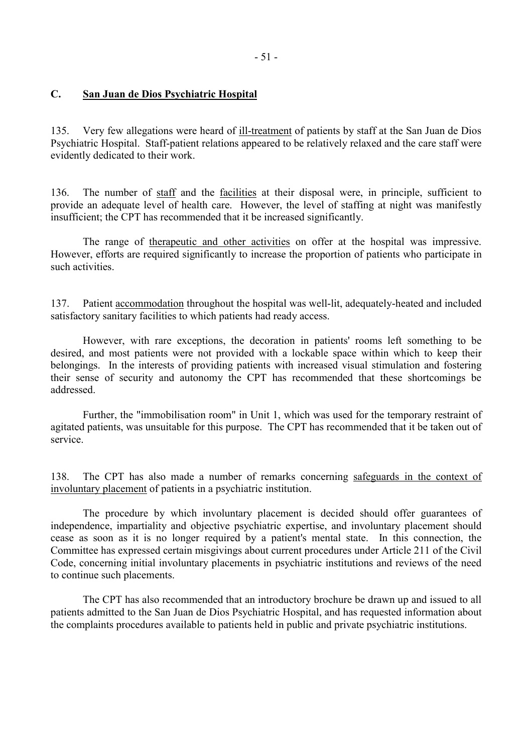### <span id="page-52-0"></span>**C. San Juan de Dios Psychiatric Hospital**

135. Very few allegations were heard of ill-treatment of patients by staff at the San Juan de Dios Psychiatric Hospital. Staff-patient relations appeared to be relatively relaxed and the care staff were evidently dedicated to their work.

136. The number of staff and the facilities at their disposal were, in principle, sufficient to provide an adequate level of health care. However, the level of staffing at night was manifestly insufficient; the CPT has recommended that it be increased significantly.

 The range of therapeutic and other activities on offer at the hospital was impressive. However, efforts are required significantly to increase the proportion of patients who participate in such activities.

137. Patient accommodation throughout the hospital was well-lit, adequately-heated and included satisfactory sanitary facilities to which patients had ready access.

 However, with rare exceptions, the decoration in patients' rooms left something to be desired, and most patients were not provided with a lockable space within which to keep their belongings. In the interests of providing patients with increased visual stimulation and fostering their sense of security and autonomy the CPT has recommended that these shortcomings be addressed.

 Further, the "immobilisation room" in Unit 1, which was used for the temporary restraint of agitated patients, was unsuitable for this purpose. The CPT has recommended that it be taken out of service.

138. The CPT has also made a number of remarks concerning safeguards in the context of involuntary placement of patients in a psychiatric institution.

 The procedure by which involuntary placement is decided should offer guarantees of independence, impartiality and objective psychiatric expertise, and involuntary placement should cease as soon as it is no longer required by a patient's mental state. In this connection, the Committee has expressed certain misgivings about current procedures under Article 211 of the Civil Code, concerning initial involuntary placements in psychiatric institutions and reviews of the need to continue such placements.

 The CPT has also recommended that an introductory brochure be drawn up and issued to all patients admitted to the San Juan de Dios Psychiatric Hospital, and has requested information about the complaints procedures available to patients held in public and private psychiatric institutions.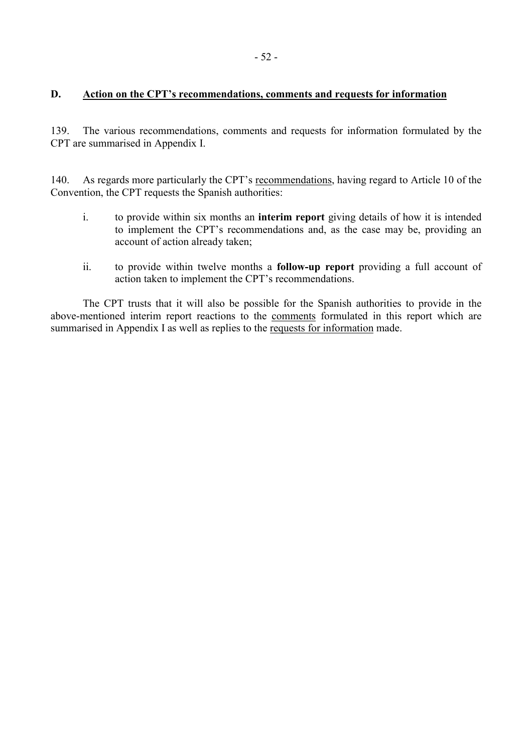### <span id="page-53-0"></span>**D. Action on the CPT's recommendations, comments and requests for information**

139. The various recommendations, comments and requests for information formulated by the CPT are summarised in Appendix I.

140. As regards more particularly the CPT's recommendations, having regard to Article 10 of the Convention, the CPT requests the Spanish authorities:

- i. to provide within six months an **interim report** giving details of how it is intended to implement the CPT's recommendations and, as the case may be, providing an account of action already taken;
- ii. to provide within twelve months a **follow-up report** providing a full account of action taken to implement the CPT's recommendations.

 The CPT trusts that it will also be possible for the Spanish authorities to provide in the above-mentioned interim report reactions to the comments formulated in this report which are summarised in Appendix I as well as replies to the requests for information made.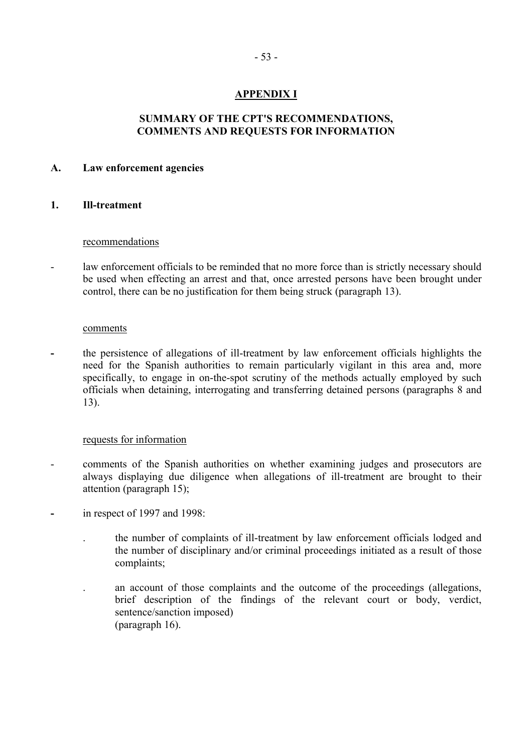## **APPENDIX I**

### **SUMMARY OF THE CPT'S RECOMMENDATIONS, COMMENTS AND REQUESTS FOR INFORMATION**

#### <span id="page-54-0"></span>**A. Law enforcement agencies**

#### **1. Ill-treatment**

#### recommendations

- law enforcement officials to be reminded that no more force than is strictly necessary should be used when effecting an arrest and that, once arrested persons have been brought under control, there can be no justification for them being struck (paragraph 13).

#### comments

**-** the persistence of allegations of ill-treatment by law enforcement officials highlights the need for the Spanish authorities to remain particularly vigilant in this area and, more specifically, to engage in on-the-spot scrutiny of the methods actually employed by such officials when detaining, interrogating and transferring detained persons (paragraphs 8 and 13).

#### requests for information

- comments of the Spanish authorities on whether examining judges and prosecutors are always displaying due diligence when allegations of ill-treatment are brought to their attention (paragraph 15);
- in respect of 1997 and 1998:
	- . the number of complaints of ill-treatment by law enforcement officials lodged and the number of disciplinary and/or criminal proceedings initiated as a result of those complaints;
	- . an account of those complaints and the outcome of the proceedings (allegations, brief description of the findings of the relevant court or body, verdict, sentence/sanction imposed) (paragraph 16).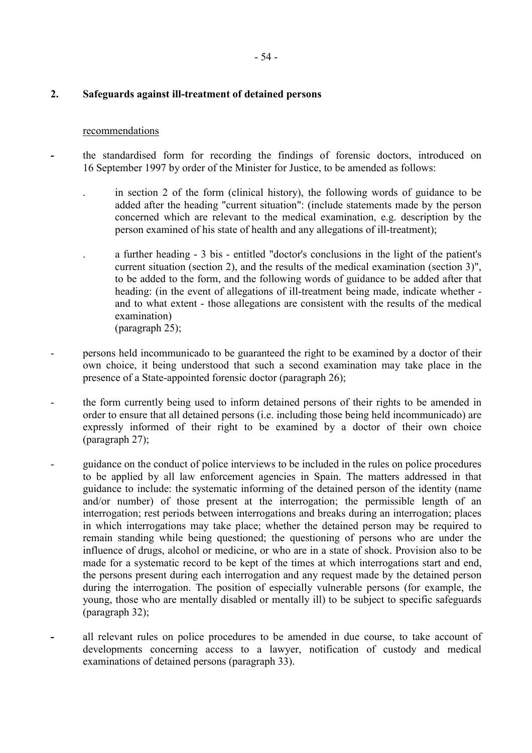### **2. Safeguards against ill-treatment of detained persons**

#### recommendations

- the standardised form for recording the findings of forensic doctors, introduced on 16 September 1997 by order of the Minister for Justice, to be amended as follows:
	- . in section 2 of the form (clinical history), the following words of guidance to be added after the heading "current situation": (include statements made by the person concerned which are relevant to the medical examination, e.g. description by the person examined of his state of health and any allegations of ill-treatment);
	- . a further heading 3 bis entitled "doctor's conclusions in the light of the patient's current situation (section 2), and the results of the medical examination (section 3)", to be added to the form, and the following words of guidance to be added after that heading: (in the event of allegations of ill-treatment being made, indicate whether and to what extent - those allegations are consistent with the results of the medical examination) (paragraph 25);
- persons held incommunicado to be guaranteed the right to be examined by a doctor of their own choice, it being understood that such a second examination may take place in the presence of a State-appointed forensic doctor (paragraph 26);
- the form currently being used to inform detained persons of their rights to be amended in order to ensure that all detained persons (i.e. including those being held incommunicado) are expressly informed of their right to be examined by a doctor of their own choice (paragraph 27);
- guidance on the conduct of police interviews to be included in the rules on police procedures to be applied by all law enforcement agencies in Spain. The matters addressed in that guidance to include: the systematic informing of the detained person of the identity (name and/or number) of those present at the interrogation; the permissible length of an interrogation; rest periods between interrogations and breaks during an interrogation; places in which interrogations may take place; whether the detained person may be required to remain standing while being questioned; the questioning of persons who are under the influence of drugs, alcohol or medicine, or who are in a state of shock. Provision also to be made for a systematic record to be kept of the times at which interrogations start and end, the persons present during each interrogation and any request made by the detained person during the interrogation. The position of especially vulnerable persons (for example, the young, those who are mentally disabled or mentally ill) to be subject to specific safeguards (paragraph 32);
- all relevant rules on police procedures to be amended in due course, to take account of developments concerning access to a lawyer, notification of custody and medical examinations of detained persons (paragraph 33).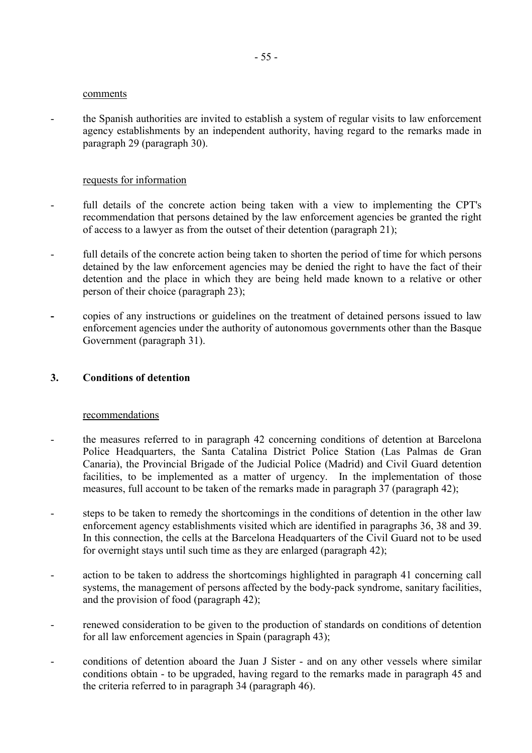#### comments

- the Spanish authorities are invited to establish a system of regular visits to law enforcement agency establishments by an independent authority, having regard to the remarks made in paragraph 29 (paragraph 30).

#### requests for information

- full details of the concrete action being taken with a view to implementing the CPT's recommendation that persons detained by the law enforcement agencies be granted the right of access to a lawyer as from the outset of their detention (paragraph 21);
- full details of the concrete action being taken to shorten the period of time for which persons detained by the law enforcement agencies may be denied the right to have the fact of their detention and the place in which they are being held made known to a relative or other person of their choice (paragraph 23);
- copies of any instructions or guidelines on the treatment of detained persons issued to law enforcement agencies under the authority of autonomous governments other than the Basque Government (paragraph 31).

#### **3. Conditions of detention**

#### recommendations

- the measures referred to in paragraph 42 concerning conditions of detention at Barcelona Police Headquarters, the Santa Catalina District Police Station (Las Palmas de Gran Canaria), the Provincial Brigade of the Judicial Police (Madrid) and Civil Guard detention facilities, to be implemented as a matter of urgency. In the implementation of those measures, full account to be taken of the remarks made in paragraph 37 (paragraph 42);
- steps to be taken to remedy the shortcomings in the conditions of detention in the other law enforcement agency establishments visited which are identified in paragraphs 36, 38 and 39. In this connection, the cells at the Barcelona Headquarters of the Civil Guard not to be used for overnight stays until such time as they are enlarged (paragraph 42);
- action to be taken to address the shortcomings highlighted in paragraph 41 concerning call systems, the management of persons affected by the body-pack syndrome, sanitary facilities, and the provision of food (paragraph 42);
- renewed consideration to be given to the production of standards on conditions of detention for all law enforcement agencies in Spain (paragraph 43);
- conditions of detention aboard the Juan J Sister and on any other vessels where similar conditions obtain - to be upgraded, having regard to the remarks made in paragraph 45 and the criteria referred to in paragraph 34 (paragraph 46).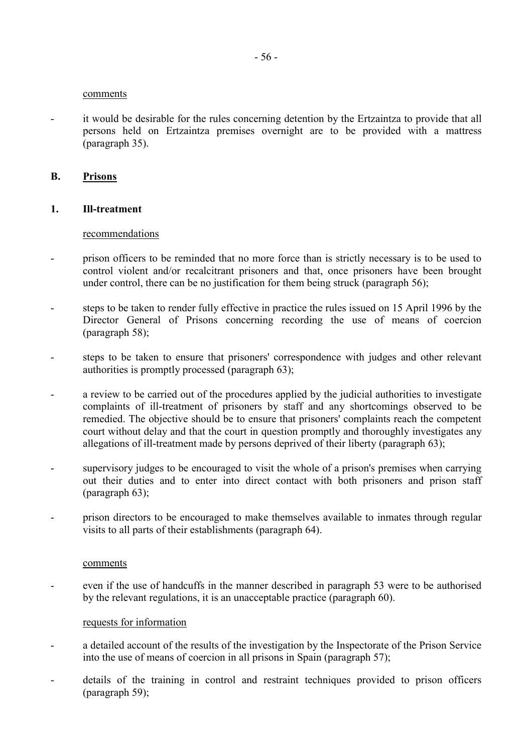#### comments

- it would be desirable for the rules concerning detention by the Ertzaintza to provide that all persons held on Ertzaintza premises overnight are to be provided with a mattress (paragraph 35).

#### **B. Prisons**

#### **1. Ill-treatment**

#### recommendations

- prison officers to be reminded that no more force than is strictly necessary is to be used to control violent and/or recalcitrant prisoners and that, once prisoners have been brought under control, there can be no justification for them being struck (paragraph 56);
- steps to be taken to render fully effective in practice the rules issued on 15 April 1996 by the Director General of Prisons concerning recording the use of means of coercion (paragraph 58);
- steps to be taken to ensure that prisoners' correspondence with judges and other relevant authorities is promptly processed (paragraph 63);
- a review to be carried out of the procedures applied by the judicial authorities to investigate complaints of ill-treatment of prisoners by staff and any shortcomings observed to be remedied. The objective should be to ensure that prisoners' complaints reach the competent court without delay and that the court in question promptly and thoroughly investigates any allegations of ill-treatment made by persons deprived of their liberty (paragraph 63);
- supervisory judges to be encouraged to visit the whole of a prison's premises when carrying out their duties and to enter into direct contact with both prisoners and prison staff (paragraph 63);
- prison directors to be encouraged to make themselves available to inmates through regular visits to all parts of their establishments (paragraph 64).

#### comments

even if the use of handcuffs in the manner described in paragraph 53 were to be authorised by the relevant regulations, it is an unacceptable practice (paragraph 60).

#### requests for information

- a detailed account of the results of the investigation by the Inspectorate of the Prison Service into the use of means of coercion in all prisons in Spain (paragraph 57);
- details of the training in control and restraint techniques provided to prison officers (paragraph 59);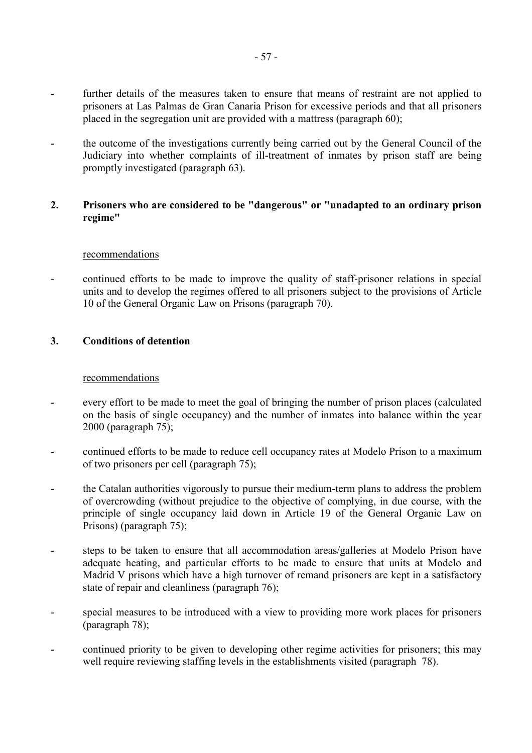- further details of the measures taken to ensure that means of restraint are not applied to prisoners at Las Palmas de Gran Canaria Prison for excessive periods and that all prisoners placed in the segregation unit are provided with a mattress (paragraph 60);
- the outcome of the investigations currently being carried out by the General Council of the Judiciary into whether complaints of ill-treatment of inmates by prison staff are being promptly investigated (paragraph 63).

### **2. Prisoners who are considered to be "dangerous" or "unadapted to an ordinary prison regime"**

#### recommendations

- continued efforts to be made to improve the quality of staff-prisoner relations in special units and to develop the regimes offered to all prisoners subject to the provisions of Article 10 of the General Organic Law on Prisons (paragraph 70).

### **3. Conditions of detention**

#### recommendations

- every effort to be made to meet the goal of bringing the number of prison places (calculated on the basis of single occupancy) and the number of inmates into balance within the year 2000 (paragraph 75);
- continued efforts to be made to reduce cell occupancy rates at Modelo Prison to a maximum of two prisoners per cell (paragraph 75);
- the Catalan authorities vigorously to pursue their medium-term plans to address the problem of overcrowding (without prejudice to the objective of complying, in due course, with the principle of single occupancy laid down in Article 19 of the General Organic Law on Prisons) (paragraph 75);
- steps to be taken to ensure that all accommodation areas/galleries at Modelo Prison have adequate heating, and particular efforts to be made to ensure that units at Modelo and Madrid V prisons which have a high turnover of remand prisoners are kept in a satisfactory state of repair and cleanliness (paragraph 76);
- special measures to be introduced with a view to providing more work places for prisoners (paragraph 78);
- continued priority to be given to developing other regime activities for prisoners; this may well require reviewing staffing levels in the establishments visited (paragraph 78).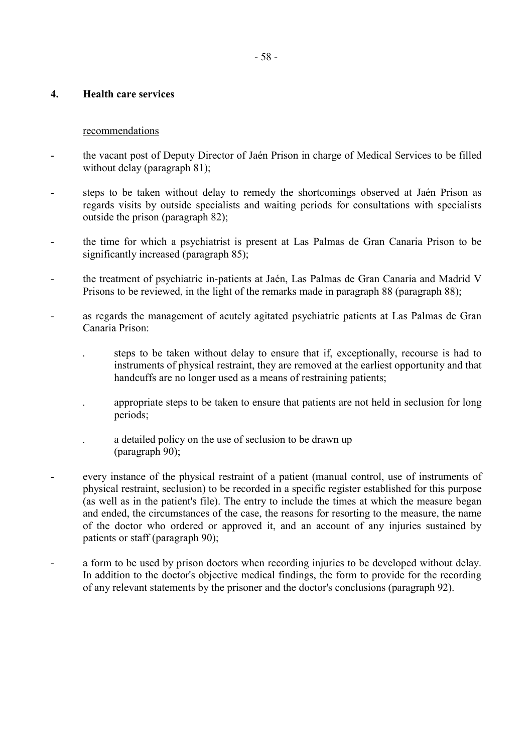#### **4. Health care services**

#### recommendations

- the vacant post of Deputy Director of Jaén Prison in charge of Medical Services to be filled without delay (paragraph 81);
- steps to be taken without delay to remedy the shortcomings observed at Jaén Prison as regards visits by outside specialists and waiting periods for consultations with specialists outside the prison (paragraph 82);
- the time for which a psychiatrist is present at Las Palmas de Gran Canaria Prison to be significantly increased (paragraph 85);
- the treatment of psychiatric in-patients at Jaén, Las Palmas de Gran Canaria and Madrid V Prisons to be reviewed, in the light of the remarks made in paragraph 88 (paragraph 88);
- as regards the management of acutely agitated psychiatric patients at Las Palmas de Gran Canaria Prison:
	- . steps to be taken without delay to ensure that if, exceptionally, recourse is had to instruments of physical restraint, they are removed at the earliest opportunity and that handcuffs are no longer used as a means of restraining patients;
	- . appropriate steps to be taken to ensure that patients are not held in seclusion for long periods;
	- . a detailed policy on the use of seclusion to be drawn up (paragraph 90);
- every instance of the physical restraint of a patient (manual control, use of instruments of physical restraint, seclusion) to be recorded in a specific register established for this purpose (as well as in the patient's file). The entry to include the times at which the measure began and ended, the circumstances of the case, the reasons for resorting to the measure, the name of the doctor who ordered or approved it, and an account of any injuries sustained by patients or staff (paragraph 90);
- a form to be used by prison doctors when recording injuries to be developed without delay. In addition to the doctor's objective medical findings, the form to provide for the recording of any relevant statements by the prisoner and the doctor's conclusions (paragraph 92).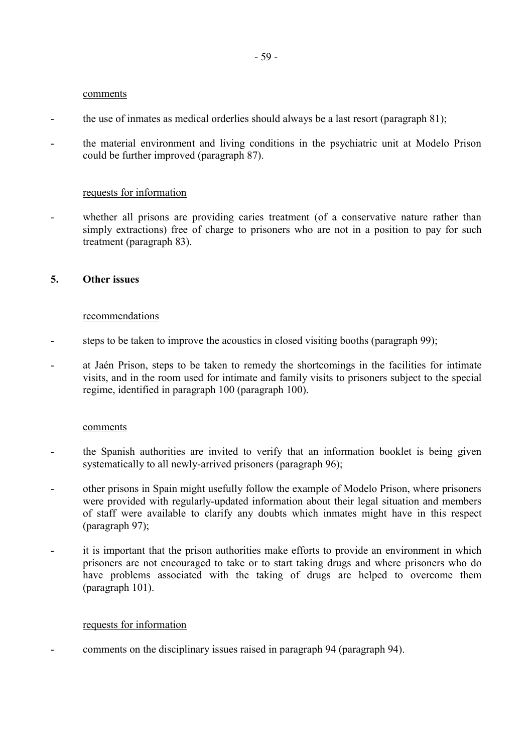#### comments

- the use of inmates as medical orderlies should always be a last resort (paragraph 81);
- the material environment and living conditions in the psychiatric unit at Modelo Prison could be further improved (paragraph 87).

#### requests for information

- whether all prisons are providing caries treatment (of a conservative nature rather than simply extractions) free of charge to prisoners who are not in a position to pay for such treatment (paragraph 83).

#### **5. Other issues**

#### recommendations

- steps to be taken to improve the acoustics in closed visiting booths (paragraph 99);
- at Jaén Prison, steps to be taken to remedy the shortcomings in the facilities for intimate visits, and in the room used for intimate and family visits to prisoners subject to the special regime, identified in paragraph 100 (paragraph 100).

#### comments

- the Spanish authorities are invited to verify that an information booklet is being given systematically to all newly-arrived prisoners (paragraph 96);
- other prisons in Spain might usefully follow the example of Modelo Prison, where prisoners were provided with regularly-updated information about their legal situation and members of staff were available to clarify any doubts which inmates might have in this respect (paragraph 97);
- it is important that the prison authorities make efforts to provide an environment in which prisoners are not encouraged to take or to start taking drugs and where prisoners who do have problems associated with the taking of drugs are helped to overcome them (paragraph 101).

#### requests for information

- comments on the disciplinary issues raised in paragraph 94 (paragraph 94).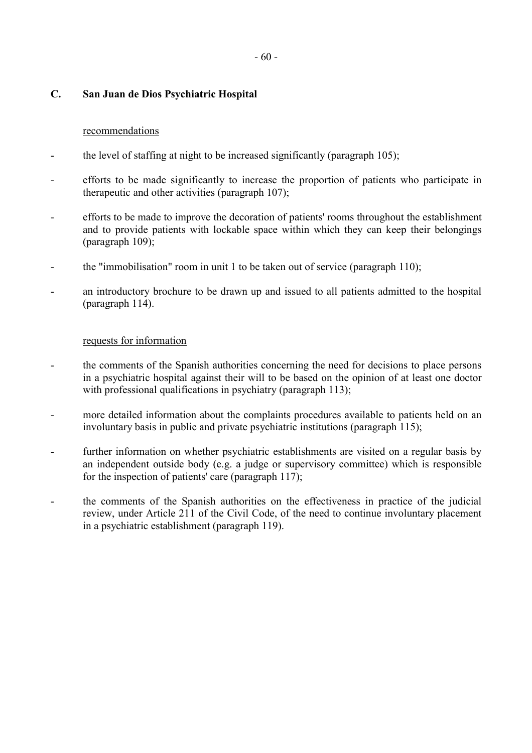### **C. San Juan de Dios Psychiatric Hospital**

#### recommendations

- the level of staffing at night to be increased significantly (paragraph 105);
- efforts to be made significantly to increase the proportion of patients who participate in therapeutic and other activities (paragraph 107);
- efforts to be made to improve the decoration of patients' rooms throughout the establishment and to provide patients with lockable space within which they can keep their belongings (paragraph 109);
- the "immobilisation" room in unit 1 to be taken out of service (paragraph 110);
- an introductory brochure to be drawn up and issued to all patients admitted to the hospital (paragraph 114).

#### requests for information

- the comments of the Spanish authorities concerning the need for decisions to place persons in a psychiatric hospital against their will to be based on the opinion of at least one doctor with professional qualifications in psychiatry (paragraph 113);
- more detailed information about the complaints procedures available to patients held on an involuntary basis in public and private psychiatric institutions (paragraph 115);
- further information on whether psychiatric establishments are visited on a regular basis by an independent outside body (e.g. a judge or supervisory committee) which is responsible for the inspection of patients' care (paragraph 117);
- the comments of the Spanish authorities on the effectiveness in practice of the judicial review, under Article 211 of the Civil Code, of the need to continue involuntary placement in a psychiatric establishment (paragraph 119).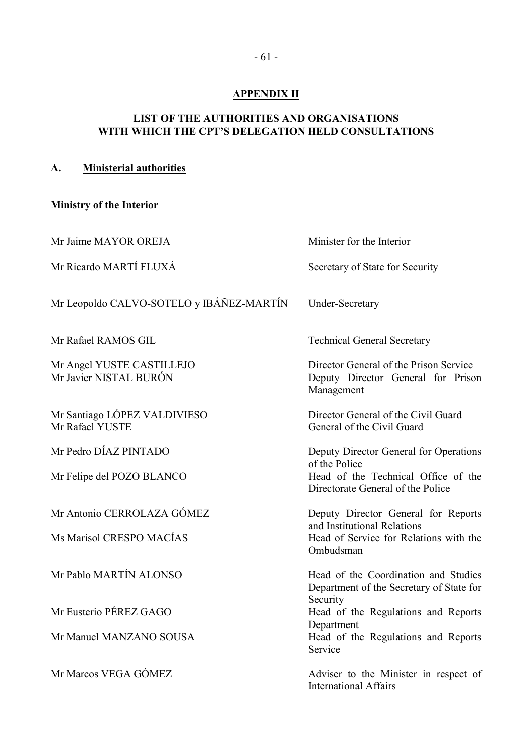## **APPENDIX II**

## <span id="page-62-0"></span>**LIST OF THE AUTHORITIES AND ORGANISATIONS WITH WHICH THE CPT'S DELEGATION HELD CONSULTATIONS**

# **A. Ministerial authorities**

# **Ministry of the Interior**

| Mr Jaime MAYOR OREJA                                | Minister for the Interior                                                                  |  |  |
|-----------------------------------------------------|--------------------------------------------------------------------------------------------|--|--|
| Mr Ricardo MARTÍ FLUXÁ                              | Secretary of State for Security                                                            |  |  |
| Mr Leopoldo CALVO-SOTELO y IBÁÑEZ-MARTÍN            | <b>Under-Secretary</b>                                                                     |  |  |
| Mr Rafael RAMOS GIL                                 | <b>Technical General Secretary</b>                                                         |  |  |
| Mr Angel YUSTE CASTILLEJO<br>Mr Javier NISTAL BURÓN | Director General of the Prison Service<br>Deputy Director General for Prison<br>Management |  |  |
| Mr Santiago LÓPEZ VALDIVIESO<br>Mr Rafael YUSTE     | Director General of the Civil Guard<br>General of the Civil Guard                          |  |  |
| Mr Pedro DÍAZ PINTADO                               | Deputy Director General for Operations<br>of the Police                                    |  |  |
| Mr Felipe del POZO BLANCO                           | Head of the Technical Office of the<br>Directorate General of the Police                   |  |  |
| Mr Antonio CERROLAZA GÓMEZ                          | Deputy Director General for Reports<br>and Institutional Relations                         |  |  |
| Ms Marisol CRESPO MACÍAS                            | Head of Service for Relations with the<br>Ombudsman                                        |  |  |
| Mr Pablo MARTÍN ALONSO                              | Head of the Coordination and Studies<br>Department of the Secretary of State for           |  |  |
| Mr Eusterio PÉREZ GAGO                              | Security<br>Head of the Regulations and Reports<br>Department                              |  |  |
| Mr Manuel MANZANO SOUSA                             | Head of the Regulations and Reports<br>Service                                             |  |  |
| Mr Marcos VEGA GÓMEZ                                | Adviser to the Minister in respect of<br><b>International Affairs</b>                      |  |  |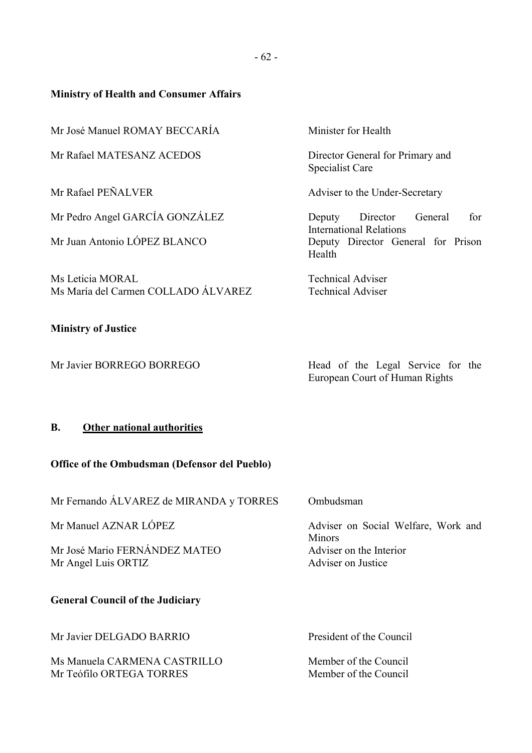## **Ministry of Health and Consumer Affairs**

Mr José Manuel ROMAY BECCARÍA Minister for Health

Mr Rafael MATESANZ ACEDOS Director General for Primary and

Ms Leticia MORAL Technical Adviser Ms María del Carmen COLLADO ÁLVAREZ Technical Adviser

## **Ministry of Justice**

Specialist Care

Mr Rafael PEÑALVER Adviser to the Under-Secretary

Mr Pedro Angel GARCÍA GONZÁLEZ Deputy Director General for International Relations Mr Juan Antonio LÓPEZ BLANCO<br>
Deputy Director General for Prison Health

Mr Javier BORREGO BORREGO Head of the Legal Service for the European Court of Human Rights

## **B. Other national authorities**

## **Office of the Ombudsman (Defensor del Pueblo)**

Mr Fernando ÁLVAREZ de MIRANDA y TORRES Ombudsman

Mr José Mario FERNÁNDEZ MATEO Adviser on the Interior Mr Angel Luis ORTIZ Adviser on Justice

## **General Council of the Judiciary**

Mr Javier DELGADO BARRIO President of the Council

Ms Manuela CARMENA CASTRILLO Member of the Council Mr Teófilo ORTEGA TORRES Member of the Council

Mr Manuel AZNAR LÓPEZ Adviser on Social Welfare, Work and **Minors**